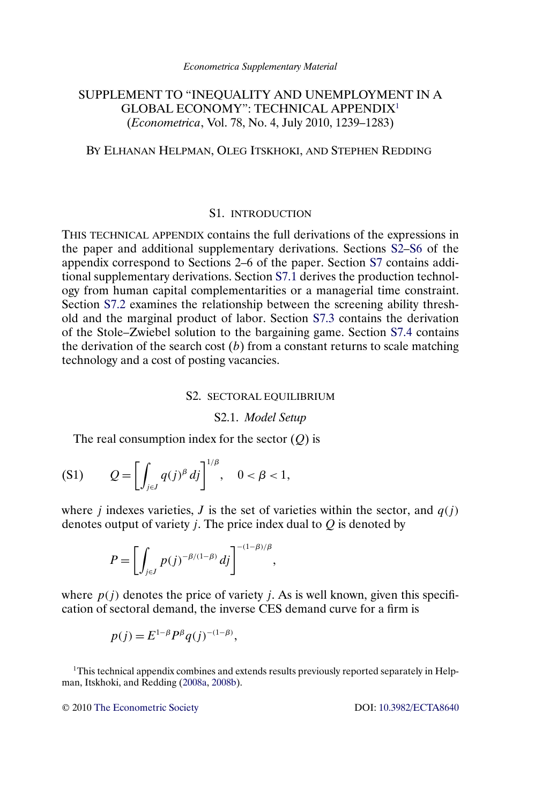# <span id="page-0-0"></span>SUPPLEMENT TO "INEQUALITY AND UNEMPLOYMENT IN A GLOBAL ECONOMY": TECHNICAL APPENDIX1 (*Econometrica*, Vol. 78, No. 4, July 2010, 1239–1283)

# BY ELHANAN HELPMAN, OLEG ITSKHOKI, AND STEPHEN REDDING

### S1. INTRODUCTION

THIS TECHNICAL APPENDIX contains the full derivations of the expressions in the paper and additional supplementary derivations. Sections S2[–S6](#page-23-0) of the appendix correspond to Sections 2–6 of the paper. Section [S7](#page-30-0) contains additional supplementary derivations. Section [S7.1](#page-30-0) derives the production technology from human capital complementarities or a managerial time constraint. Section [S7.2](#page-31-0) examines the relationship between the screening ability threshold and the marginal product of labor. Section [S7.3](#page-32-0) contains the derivation of the Stole–Zwiebel solution to the bargaining game. Section [S7.4](#page-33-0) contains the derivation of the search cost  $(b)$  from a constant returns to scale matching technology and a cost of posting vacancies.

## S2. SECTORAL EQUILIBRIUM

#### S2.1. *Model Setup*

The real consumption index for the sector  $(Q)$  is

$$
(S1) \tQ = \left[ \int_{j\in J} q(j)^{\beta} \, dj \right]^{1/\beta}, \quad 0 < \beta < 1,
$$

where *j* indexes varieties, *J* is the set of varieties within the sector, and  $q(j)$ denotes output of variety *j*. The price index dual to  $Q$  is denoted by

$$
P=\left[\int_{j\in J}p(j)^{-\beta/(1-\beta)}\,dj\right]^{-(1-\beta)/\beta},\,
$$

where  $p(i)$  denotes the price of variety *j*. As is well known, given this specification of sectoral demand, the inverse CES demand curve for a firm is

$$
p(j) = E^{1-\beta} P^{\beta} q(j)^{-(1-\beta)},
$$

<sup>1</sup>This technical appendix combines and extends results previously reported separately in Helpman, Itskhoki, and Redding [\(2008a,](#page-34-0) [2008b\)](#page-34-0).

© 2010 [The Econometric Society](http://www.econometricsociety.org/) DOI: [10.3982/ECTA8640](http://dx.doi.org/10.3982/ECTA8640)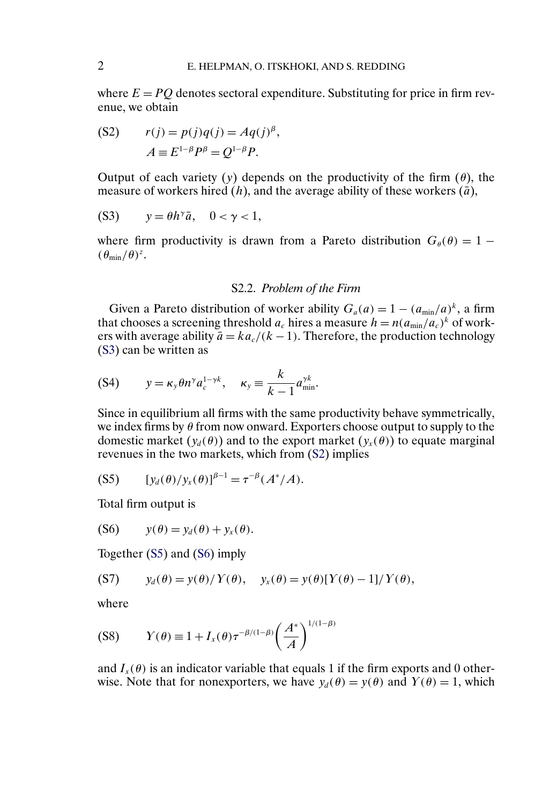<span id="page-1-0"></span>where  $E = PO$  denotes sectoral expenditure. Substituting for price in firm revenue, we obtain

$$
\text{(S2)} \qquad r(j) = p(j)q(j) = Aq(j)^{\beta},
$$
\n
$$
A \equiv E^{1-\beta}P^{\beta} = Q^{1-\beta}P.
$$

Output of each variety (y) depends on the productivity of the firm  $(\theta)$ , the measure of workers hired  $(h)$ , and the average ability of these workers  $(\bar{a})$ ,

$$
(S3) \qquad y = \theta h^{\gamma} \bar{a}, \quad 0 < \gamma < 1,
$$

where firm productivity is drawn from a Pareto distribution  $G_{\theta}(\theta) = 1 (\theta_{\min}/\theta)^z$ .

## S2.2. *Problem of the Firm*

Given a Pareto distribution of worker ability  $G_a(a) = 1 - (a_{min}/a)^k$ , a firm that chooses a screening threshold  $a_c$  hires a measure  $h = n(a_{min}/a_c)^k$  of workers with average ability  $\bar{a} = ka_c/(k-1)$ . Therefore, the production technology (S3) can be written as

$$
(S4) \t y = \kappa_y \theta n^\gamma a_c^{1-\gamma k}, \quad \kappa_y \equiv \frac{k}{k-1} a_{\min}^{\gamma k}.
$$

Since in equilibrium all firms with the same productivity behave symmetrically, we index firms by  $\theta$  from now onward. Exporters choose output to supply to the domestic market  $(y_d(\theta))$  and to the export market  $(y_x(\theta))$  to equate marginal revenues in the two markets, which from (S2) implies

$$
(S5) \t [y_d(\theta)/y_x(\theta)]^{\beta-1} = \tau^{-\beta}(A^*/A).
$$

Total firm output is

(S6)  $y(\theta) = y_d(\theta) + y_r(\theta)$ .

Together (S5) and (S6) imply

$$
(S7) \t y_d(\theta) = y(\theta)/Y(\theta), \t y_x(\theta) = y(\theta)[Y(\theta) - 1]/Y(\theta),
$$

where

$$
(S8) \t Y(\theta) \equiv 1 + I_x(\theta) \tau^{-\beta/(1-\beta)} \left(\frac{A^*}{A}\right)^{1/(1-\beta)}
$$

and  $I_{x}(\theta)$  is an indicator variable that equals 1 if the firm exports and 0 otherwise. Note that for nonexporters, we have  $y_d(\theta) = y(\theta)$  and  $Y(\theta) = 1$ , which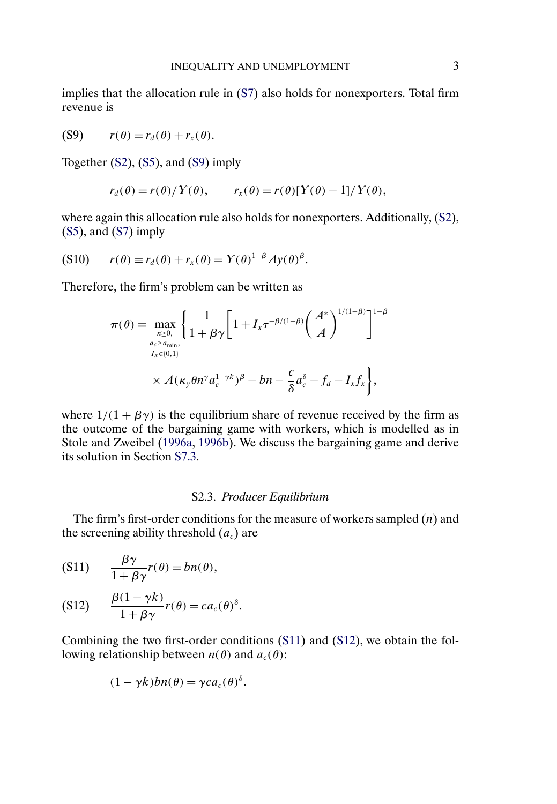<span id="page-2-0"></span>implies that the allocation rule in [\(S7\)](#page-1-0) also holds for nonexporters. Total firm revenue is

$$
(S9) \t r(\theta) = r_d(\theta) + r_x(\theta).
$$

Together [\(S2\)](#page-1-0), [\(S5\)](#page-1-0), and (S9) imply

$$
r_d(\theta) = r(\theta)/\Upsilon(\theta), \qquad r_x(\theta) = r(\theta)[\Upsilon(\theta) - 1]/\Upsilon(\theta),
$$

where again this allocation rule also holds for nonexporters. Additionally,  $(S2)$ , [\(S5\)](#page-1-0), and [\(S7\)](#page-1-0) imply

$$
(S10) \t r(\theta) \equiv r_d(\theta) + r_x(\theta) = Y(\theta)^{1-\beta}Ay(\theta)^{\beta}.
$$

Therefore, the firm's problem can be written as

$$
\pi(\theta) = \max_{\substack{n \geq 0, \\ a_c \geq a_{\min}, \\ I_x \in \{0,1\}}} \left\{ \frac{1}{1 + \beta \gamma} \left[ 1 + I_x \tau^{-\beta/(1-\beta)} \left( \frac{A^*}{A} \right)^{1/(1-\beta)} \right]^{1-\beta} \right\}
$$

$$
\times A(\kappa_y \theta n^\gamma a_c^{1-\gamma k})^\beta - b_n - \frac{c}{\delta} a_c^\delta - f_d - I_x f_x \right\},
$$

where  $1/(1 + \beta \gamma)$  is the equilibrium share of revenue received by the firm as the outcome of the bargaining game with workers, which is modelled as in Stole and Zweibel [\(1996a,](#page-34-0) [1996b\)](#page-34-0). We discuss the bargaining game and derive its solution in Section [S7.3.](#page-32-0)

### S2.3. *Producer Equilibrium*

The firm's first-order conditions for the measure of workers sampled  $(n)$  and the screening ability threshold  $(a_c)$  are

$$
(S11) \qquad \frac{\beta \gamma}{1 + \beta \gamma} r(\theta) = bn(\theta),
$$

$$
(S12) \qquad \frac{\beta(1-\gamma k)}{1+\beta\gamma}r(\theta)=ca_c(\theta)^{\delta}.
$$

Combining the two first-order conditions (S11) and (S12), we obtain the following relationship between  $n(\theta)$  and  $a_c(\theta)$ :

$$
(1 - \gamma k)bn(\theta) = \gamma ca_c(\theta)^{\delta}.
$$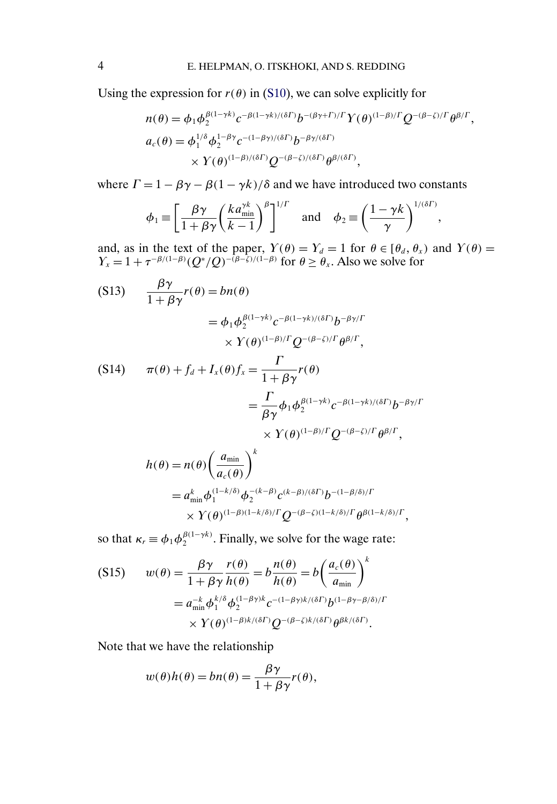<span id="page-3-0"></span>Using the expression for  $r(\theta)$  in [\(S10\)](#page-2-0), we can solve explicitly for

$$
n(\theta) = \phi_1 \phi_2^{\beta(1-\gamma k)} c^{-\beta(1-\gamma k)/(\delta\Gamma)} b^{-(\beta\gamma+\Gamma)/\Gamma} Y(\theta)^{(1-\beta)/\Gamma} Q^{-(\beta-\zeta)/\Gamma} \theta^{\beta/\Gamma},
$$
  
\n
$$
a_c(\theta) = \phi_1^{1/\delta} \phi_2^{1-\beta\gamma} c^{-(1-\beta\gamma)/(\delta\Gamma)} b^{-\beta\gamma/(\delta\Gamma)}
$$
  
\n
$$
\times Y(\theta)^{(1-\beta)/(\delta\Gamma)} Q^{-(\beta-\zeta)/(\delta\Gamma)} \theta^{\beta/(\delta\Gamma)},
$$

where  $\Gamma = 1 - \beta \gamma - \beta (1 - \gamma k)/\delta$  and we have introduced two constants

$$
\phi_1 \equiv \left[\frac{\beta \gamma}{1 + \beta \gamma} \left(\frac{k a_{\min}^{\gamma k}}{k-1}\right)^{\beta}\right]^{1/\Gamma} \quad \text{and} \quad \phi_2 \equiv \left(\frac{1 - \gamma k}{\gamma}\right)^{1/(\delta \Gamma)},
$$

and, as in the text of the paper,  $Y(\theta) = Y_d = 1$  for  $\theta \in [\theta_d, \theta_x)$  and  $Y(\theta) =$  $Y_x = 1 + \tau^{-\beta/(1-\beta)} (Q^*/Q)^{-(\beta-\zeta)/(1-\beta)}$  for  $\theta \ge \theta_x$ . Also we solve for

(S13) 
$$
\frac{\beta \gamma}{1 + \beta \gamma} r(\theta) = b n(\theta)
$$

$$
= \phi_1 \phi_2^{\beta (1 - \gamma k)} c^{-\beta (1 - \gamma k)/(\delta \Gamma)} b^{-\beta \gamma/\Gamma}
$$

$$
\times Y(\theta)^{(1 - \beta)/\Gamma} Q^{-(\beta - \zeta)/\Gamma} \theta^{\beta/\Gamma},
$$

$$
(S14) \qquad \pi(\theta) + f_d + I_x(\theta) f_x = \frac{\Gamma}{1 + \beta \gamma} r(\theta)
$$

$$
= \frac{\Gamma}{\beta \gamma} \phi_1 \phi_2^{\beta(1-\gamma k)} c^{-\beta(1-\gamma k)/(\delta \Gamma)} b^{-\beta \gamma/\Gamma}
$$
  
 
$$
\times Y(\theta)^{(1-\beta)/\Gamma} Q^{-(\beta-\zeta)/\Gamma} \theta^{\beta/\Gamma},
$$

$$
h(\theta) = n(\theta) \left(\frac{a_{\min}}{a_c(\theta)}\right)^k
$$
  
=  $a_{\min}^k \phi_1^{(1-k/\delta)} \phi_2^{-(k-\beta)} c^{(k-\beta)/(\delta\Gamma)} b^{-(1-\beta/\delta)/\Gamma}$   
 $\times Y(\theta)^{(1-\beta)(1-k/\delta)/\Gamma} Q^{-(\beta-\zeta)(1-k/\delta)/\Gamma} \theta^{\beta(1-k/\delta)/\Gamma},$ 

so that  $\kappa_r \equiv \phi_1 \phi_2^{\beta(1-\gamma k)}$ . Finally, we solve for the wage rate:

$$
\begin{aligned} \text{(S15)} \qquad w(\theta) &= \frac{\beta \gamma}{1 + \beta \gamma} \frac{r(\theta)}{h(\theta)} = b \frac{h(\theta)}{h(\theta)} = b \left( \frac{a_c(\theta)}{a_{\min}} \right)^k \\ &= a_{\min}^{-k} \phi_1^{k/\delta} \phi_2^{(1 - \beta \gamma)k} c^{-(1 - \beta \gamma)k/(\delta \Gamma)} b^{(1 - \beta \gamma - \beta/\delta)/\Gamma} \\ &\times Y(\theta)^{(1 - \beta)k/(\delta \Gamma)} Q^{-(\beta - \zeta)k/(\delta \Gamma)} \theta^{\beta k/(\delta \Gamma)}. \end{aligned}
$$

Note that we have the relationship

$$
w(\theta)h(\theta) = bn(\theta) = \frac{\beta\gamma}{1 + \beta\gamma}r(\theta),
$$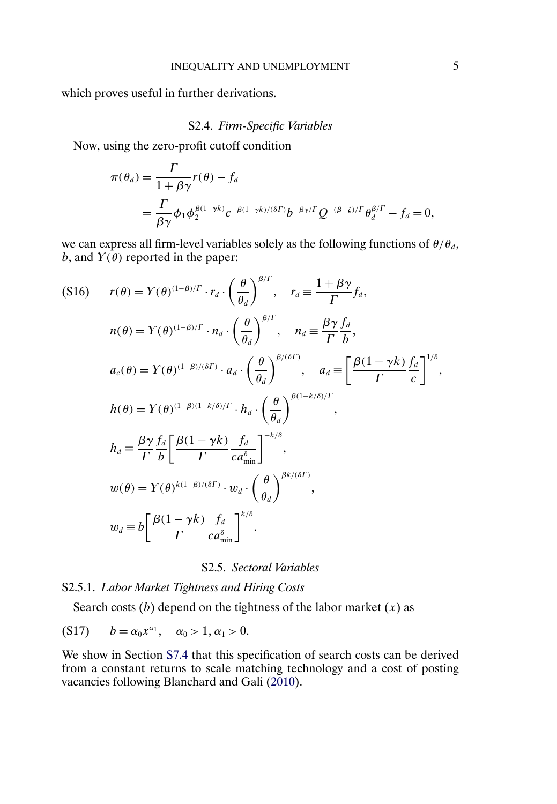<span id="page-4-0"></span>which proves useful in further derivations.

# S2.4. *Firm-Specific Variables*

Now, using the zero-profit cutoff condition

$$
\pi(\theta_d) = \frac{\Gamma}{1 + \beta \gamma} r(\theta) - f_d
$$
  
= 
$$
\frac{\Gamma}{\beta \gamma} \phi_1 \phi_2^{\beta(1 - \gamma k)} c^{-\beta(1 - \gamma k)/(\delta \Gamma)} b^{-\beta \gamma/\Gamma} Q^{-(\beta - \zeta)/\Gamma} \theta_d^{\beta/\Gamma} - f_d = 0,
$$

we can express all firm-level variables solely as the following functions of  $\theta/\theta_d$ , b, and  $Y(\theta)$  reported in the paper:

$$
(S16) \t r(\theta) = Y(\theta)^{(1-\beta)/\Gamma} \cdot r_d \cdot \left(\frac{\theta}{\theta_d}\right)^{\beta/\Gamma}, \t r_d = \frac{1+\beta\gamma}{\Gamma} f_d,
$$
  
\n
$$
n(\theta) = Y(\theta)^{(1-\beta)/\Gamma} \cdot n_d \cdot \left(\frac{\theta}{\theta_d}\right)^{\beta/\Gamma}, \t n_d = \frac{\beta\gamma}{\Gamma} \frac{f_d}{b},
$$
  
\n
$$
a_c(\theta) = Y(\theta)^{(1-\beta)/(\delta\Gamma)} \cdot a_d \cdot \left(\frac{\theta}{\theta_d}\right)^{\beta/(\delta\Gamma)}, \t a_d = \left[\frac{\beta(1-\gamma k)}{\Gamma} \frac{f_d}{c}\right]^{1/\delta},
$$
  
\n
$$
h(\theta) = Y(\theta)^{(1-\beta)(1-k/\delta)/\Gamma} \cdot h_d \cdot \left(\frac{\theta}{\theta_d}\right)^{\beta(1-k/\delta)/\Gamma},
$$
  
\n
$$
h_d \equiv \frac{\beta\gamma}{\Gamma} \frac{f_d}{b} \left[\frac{\beta(1-\gamma k)}{\Gamma} \frac{f_d}{c a_{\min}^{\delta}}\right]^{-k/\delta},
$$
  
\n
$$
w(\theta) = Y(\theta)^{k(1-\beta)/(\delta\Gamma)} \cdot w_d \cdot \left(\frac{\theta}{\theta_d}\right)^{\beta k/(\delta\Gamma)},
$$
  
\n
$$
w_d \equiv b \left[\frac{\beta(1-\gamma k)}{\Gamma} \frac{f_d}{c a_{\min}^{\delta}}\right]^{k/\delta}.
$$

# S2.5. *Sectoral Variables*

# S2.5.1. *Labor Market Tightness and Hiring Costs*

Search costs  $(b)$  depend on the tightness of the labor market  $(x)$  as

(S17) 
$$
b = \alpha_0 x^{\alpha_1}, \quad \alpha_0 > 1, \alpha_1 > 0.
$$

We show in Section [S7.4](#page-33-0) that this specification of search costs can be derived from a constant returns to scale matching technology and a cost of posting vacancies following Blanchard and Gali [\(2010\)](#page-34-0).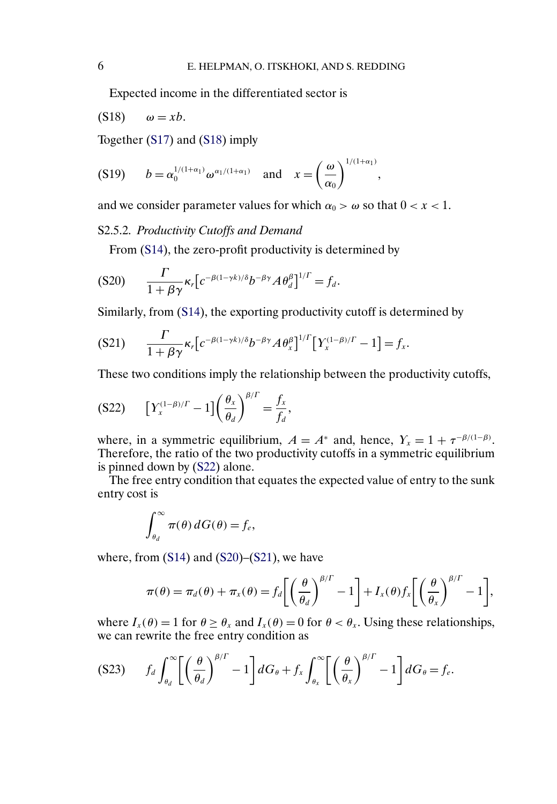<span id="page-5-0"></span>Expected income in the differentiated sector is

$$
(S18) \qquad \omega = xb.
$$

Together [\(S17\)](#page-4-0) and (S18) imply

$$
(S19) \t b = \alpha_0^{1/(1+\alpha_1)} \omega^{\alpha_1/(1+\alpha_1)} \text{ and } x = \left(\frac{\omega}{\alpha_0}\right)^{1/(1+\alpha_1)},
$$

and we consider parameter values for which  $\alpha_0 > \omega$  so that  $0 < x < 1$ .

S2.5.2. *Productivity Cutoffs and Demand*

From [\(S14\)](#page-3-0), the zero-profit productivity is determined by

$$
(S20) \qquad \frac{\Gamma}{1+\beta\gamma}\kappa_r\big[c^{-\beta(1-\gamma k)/\delta}b^{-\beta\gamma}A\theta_d^{\beta}\big]^{1/\Gamma}=f_d.
$$

Similarly, from [\(S14\)](#page-3-0), the exporting productivity cutoff is determined by

$$
(S21) \qquad \frac{\Gamma}{1+\beta\gamma}\kappa_r\big[c^{-\beta(1-\gamma k)/\delta}b^{-\beta\gamma}A\theta_x^{\beta}\big]^{1/\Gamma}\big[\Upsilon_x^{(1-\beta)/\Gamma}-1\big]=f_x.
$$

These two conditions imply the relationship between the productivity cutoffs,

$$
(S22) \qquad \left[Y_x^{(1-\beta)/\Gamma} - 1\right] \left(\frac{\theta_x}{\theta_d}\right)^{\beta/\Gamma} = \frac{f_x}{f_d},
$$

where, in a symmetric equilibrium,  $A = A^*$  and, hence,  $Y_x = 1 + \tau^{-\beta/(1-\beta)}$ . Therefore, the ratio of the two productivity cutoffs in a symmetric equilibrium is pinned down by (S22) alone.

The free entry condition that equates the expected value of entry to the sunk entry cost is

$$
\int_{\theta_d}^{\infty} \pi(\theta) \, dG(\theta) = f_e,
$$

where, from  $(S14)$  and  $(S20)$ – $(S21)$ , we have

$$
\pi(\theta) = \pi_d(\theta) + \pi_x(\theta) = f_d \left[ \left( \frac{\theta}{\theta_d} \right)^{\beta/\Gamma} - 1 \right] + I_x(\theta) f_x \left[ \left( \frac{\theta}{\theta_x} \right)^{\beta/\Gamma} - 1 \right],
$$

where  $I_x(\theta) = 1$  for  $\theta \ge \theta_x$  and  $I_x(\theta) = 0$  for  $\theta < \theta_x$ . Using these relationships, we can rewrite the free entry condition as

$$
(S23) \t f_d \int_{\theta_d}^{\infty} \left[ \left( \frac{\theta}{\theta_d} \right)^{\beta/\Gamma} - 1 \right] dG_{\theta} + f_x \int_{\theta_x}^{\infty} \left[ \left( \frac{\theta}{\theta_x} \right)^{\beta/\Gamma} - 1 \right] dG_{\theta} = f_e.
$$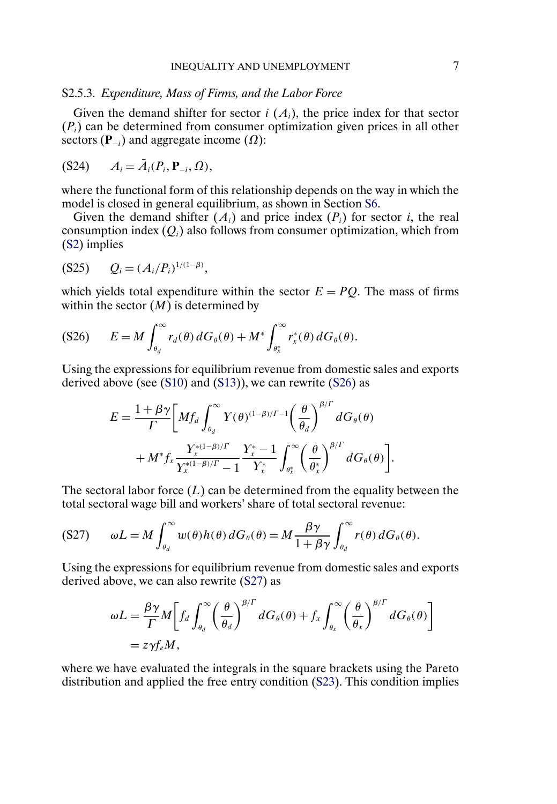## <span id="page-6-0"></span>S2.5.3. *Expenditure, Mass of Firms, and the Labor Force*

Given the demand shifter for sector  $i(A_i)$ , the price index for that sector  $(P_i)$  can be determined from consumer optimization given prices in all other sectors ( $\mathbf{P}_{-i}$ ) and aggregate income ( $\Omega$ ):

$$
(S24) \qquad A_i = \tilde{A}_i(P_i, \mathbf{P}_{-i}, \Omega),
$$

where the functional form of this relationship depends on the way in which the model is closed in general equilibrium, as shown in Section [S6.](#page-23-0)

Given the demand shifter  $(A_i)$  and price index  $(P_i)$  for sector i, the real consumption index  $(Q_i)$  also follows from consumer optimization, which from [\(S2\)](#page-1-0) implies

$$
(S25) \tQi = (Ai/Pi)1/(1-\beta),
$$

which yields total expenditure within the sector  $E = PO$ . The mass of firms within the sector  $(M)$  is determined by

$$
(S26) \qquad E = M \int_{\theta_d}^{\infty} r_d(\theta) \, dG_{\theta}(\theta) + M^* \int_{\theta_x^*}^{\infty} r_x^*(\theta) \, dG_{\theta}(\theta).
$$

Using the expressions for equilibrium revenue from domestic sales and exports derived above (see [\(S10\)](#page-2-0) and [\(S13\)](#page-3-0)), we can rewrite (S26) as

$$
E = \frac{1 + \beta \gamma}{\Gamma} \bigg[ M f_d \int_{\theta_d}^{\infty} Y(\theta)^{(1-\beta)/\Gamma-1} \bigg( \frac{\theta}{\theta_d} \bigg)^{\beta/\Gamma} dG_{\theta}(\theta) + M^* f_x \frac{Y_x^{*(1-\beta)/\Gamma}}{Y_x^{*(1-\beta)/\Gamma}-1} \frac{Y_x^* - 1}{Y_x^*} \int_{\theta_x^*}^{\infty} \bigg( \frac{\theta}{\theta_x^*} \bigg)^{\beta/\Gamma} dG_{\theta}(\theta) \bigg].
$$

The sectoral labor force  $(L)$  can be determined from the equality between the total sectoral wage bill and workers' share of total sectoral revenue:

$$
(S27) \qquad \omega L = M \int_{\theta_d}^{\infty} w(\theta) h(\theta) dG_{\theta}(\theta) = M \frac{\beta \gamma}{1 + \beta \gamma} \int_{\theta_d}^{\infty} r(\theta) dG_{\theta}(\theta).
$$

Using the expressions for equilibrium revenue from domestic sales and exports derived above, we can also rewrite (S27) as

$$
\omega L = \frac{\beta \gamma}{\Gamma} M \bigg[ f_d \int_{\theta_d}^{\infty} \left( \frac{\theta}{\theta_d} \right)^{\beta/\Gamma} dG_{\theta}(\theta) + f_x \int_{\theta_x}^{\infty} \left( \frac{\theta}{\theta_x} \right)^{\beta/\Gamma} dG_{\theta}(\theta) \bigg]
$$
  
=  $z \gamma f_e M$ ,

where we have evaluated the integrals in the square brackets using the Pareto distribution and applied the free entry condition [\(S23\)](#page-5-0). This condition implies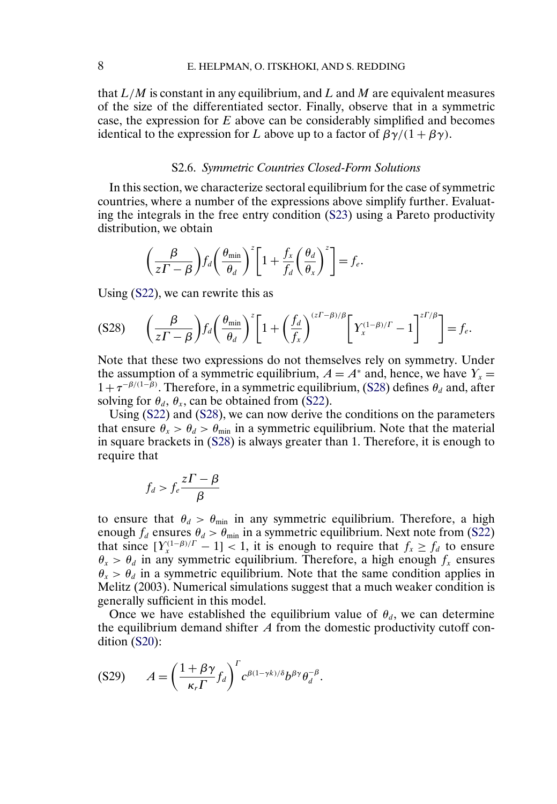<span id="page-7-0"></span>that  $L/M$  is constant in any equilibrium, and L and M are equivalent measures of the size of the differentiated sector. Finally, observe that in a symmetric case, the expression for E above can be considerably simplified and becomes identical to the expression for L above up to a factor of  $\beta\gamma/(1+\beta\gamma)$ .

### S2.6. *Symmetric Countries Closed-Form Solutions*

In this section, we characterize sectoral equilibrium for the case of symmetric countries, where a number of the expressions above simplify further. Evaluating the integrals in the free entry condition [\(S23\)](#page-5-0) using a Pareto productivity distribution, we obtain

$$
\left(\frac{\beta}{z\Gamma-\beta}\right) f_d \left(\frac{\theta_{\min}}{\theta_d}\right)^z \left[1+\frac{f_x}{f_d} \left(\frac{\theta_d}{\theta_x}\right)^z\right] = f_e.
$$

Using [\(S22\)](#page-5-0), we can rewrite this as

$$
(S28) \qquad \left(\frac{\beta}{z\Gamma - \beta}\right) f_d \left(\frac{\theta_{\min}}{\theta_d}\right)^z \left[1 + \left(\frac{f_d}{f_x}\right)^{(z\Gamma - \beta)/\beta} \left[\gamma_x^{(1-\beta)/\Gamma} - 1\right]^{z\Gamma/\beta}\right] = f_e.
$$

Note that these two expressions do not themselves rely on symmetry. Under the assumption of a symmetric equilibrium,  $A = A^*$  and, hence, we have  $Y_x =$  $1+\tau^{-\beta/(1-\beta)}$ . Therefore, in a symmetric equilibrium, (S28) defines  $\theta_d$  and, after solving for  $\theta_d$ ,  $\theta_x$ , can be obtained from [\(S22\)](#page-5-0).

Using [\(S22\)](#page-5-0) and (S28), we can now derive the conditions on the parameters that ensure  $\theta_x > \theta_d > \theta_{\text{min}}$  in a symmetric equilibrium. Note that the material in square brackets in (S28) is always greater than 1. Therefore, it is enough to require that

$$
f_d > f_e \frac{z\Gamma - \beta}{\beta}
$$

to ensure that  $\theta_d > \theta_{\min}$  in any symmetric equilibrium. Therefore, a high enough  $f_d$  ensures  $\theta_d > \theta_{\min}$  in a symmetric equilibrium. Next note from [\(S22\)](#page-5-0) that since  $[Y_{x}^{(1-\beta)/\Gamma}-1] < 1$ , it is enough to require that  $f_{x} \ge f_{d}$  to ensure  $\theta_x > \theta_d$  in any symmetric equilibrium. Therefore, a high enough  $f_x$  ensures  $\theta_x > \theta_d$  in a symmetric equilibrium. Note that the same condition applies in Melitz (2003). Numerical simulations suggest that a much weaker condition is generally sufficient in this model.

Once we have established the equilibrium value of  $\theta_d$ , we can determine the equilibrium demand shifter  $A$  from the domestic productivity cutoff condition [\(S20\)](#page-5-0):

$$
(S29) \qquad A = \left(\frac{1+\beta\gamma}{\kappa_r\Gamma}f_d\right)^r c^{\beta(1-\gamma k)/\delta}b^{\beta\gamma}\theta_d^{-\beta}.
$$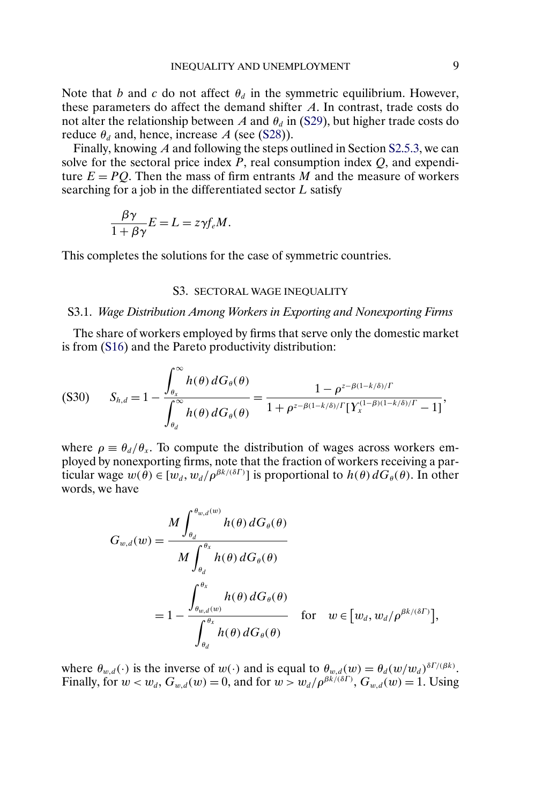Note that b and c do not affect  $\theta_d$  in the symmetric equilibrium. However, these parameters do affect the demand shifter A. In contrast, trade costs do not alter the relationship between A and  $\theta_d$  in [\(S29\)](#page-7-0), but higher trade costs do reduce  $\theta_d$  and, hence, increase A (see [\(S28\)](#page-7-0)).

Finally, knowing A and following the steps outlined in Section [S2.5.3,](#page-6-0) we can solve for the sectoral price index  $P$ , real consumption index  $Q$ , and expenditure  $E = PQ$ . Then the mass of firm entrants M and the measure of workers searching for a job in the differentiated sector L satisfy

$$
\frac{\beta \gamma}{1 + \beta \gamma} E = L = z \gamma f_e M.
$$

This completes the solutions for the case of symmetric countries.

### S3. SECTORAL WAGE INEQUALITY

### S3.1. *Wage Distribution Among Workers in Exporting and Nonexporting Firms*

The share of workers employed by firms that serve only the domestic market is from [\(S16\)](#page-4-0) and the Pareto productivity distribution:

$$
(S30) \tS_{h,d} = 1 - \frac{\int_{\theta_x}^{\infty} h(\theta) dG_{\theta}(\theta)}{\int_{\theta_d}^{\infty} h(\theta) dG_{\theta}(\theta)} = \frac{1 - \rho^{z - \beta(1 - k/\delta)/\Gamma}}{1 + \rho^{z - \beta(1 - k/\delta)/\Gamma} [\Upsilon_x^{(1 - \beta)(1 - k/\delta)/\Gamma} - 1]},
$$

where  $\rho \equiv \theta_d/\theta_x$ . To compute the distribution of wages across workers employed by nonexporting firms, note that the fraction of workers receiving a particular wage  $w(\theta) \in [w_d, w_d/\rho^{\beta k/(\delta\Gamma)}]$  is proportional to  $h(\theta) dG_{\theta}(\theta)$ . In other words, we have

$$
G_{w,d}(w) = \frac{M \int_{\theta_d}^{\theta_{w,d}(w)} h(\theta) dG_{\theta}(\theta)}{M \int_{\theta_d}^{\theta_x} h(\theta) dG_{\theta}(\theta)}
$$
  
=  $1 - \frac{\int_{\theta_{w,d}(w)}^{\theta_x} h(\theta) dG_{\theta}(\theta)}{\int_{\theta_d}^{\theta_x} h(\theta) dG_{\theta}(\theta)}$  for  $w \in [w_d, w_d/p^{\beta k/(\delta\Gamma)}],$ 

where  $\theta_{w,d}(\cdot)$  is the inverse of  $w(\cdot)$  and is equal to  $\theta_{w,d}(w) = \theta_d(w/w_d)^{\delta \Gamma/(\beta k)}$ . Finally, for  $w < w_d$ ,  $G_{w,d}(w) = 0$ , and for  $w > w_d/\rho^{\beta k/(\delta \Gamma)}$ ,  $G_{w,d}(w) = 1$ . Using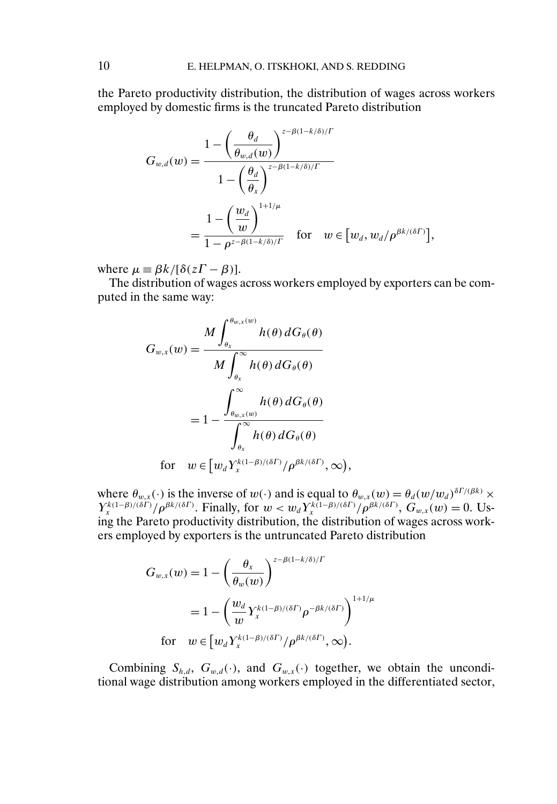the Pareto productivity distribution, the distribution of wages across workers employed by domestic firms is the truncated Pareto distribution

$$
G_{w,d}(w) = \frac{1 - \left(\frac{\theta_d}{\theta_{w,d}(w)}\right)^{z - \beta(1 - k/\delta)/\Gamma}}{1 - \left(\frac{\theta_d}{\theta_x}\right)^{z - \beta(1 - k/\delta)/\Gamma}}
$$

$$
= \frac{1 - \left(\frac{w_d}{w}\right)^{1 + 1/\mu}}{1 - \rho^{z - \beta(1 - k/\delta)/\Gamma}} \quad \text{for} \quad w \in [w_d, w_d/\rho^{\beta k/(\delta\Gamma)}],
$$

where  $\mu = \beta k / [\delta(z\Gamma - \beta)].$ 

The distribution of wages across workers employed by exporters can be computed in the same way:

$$
G_{w,x}(w) = \frac{M \int_{\theta_x}^{\theta_{w,x}(w)} h(\theta) dG_{\theta}(\theta)}{M \int_{\theta_x}^{\infty} h(\theta) dG_{\theta}(\theta)}
$$
  
=  $1 - \frac{\int_{\theta_{w,x}(w)}^{\infty} h(\theta) dG_{\theta}(\theta)}{\int_{\theta_x}^{\infty} h(\theta) dG_{\theta}(\theta)}$   
for  $w \in [w_d Y_x^{k(1-\beta)/(\delta\Gamma)}/\rho^{\beta k/(\delta\Gamma)}, \infty),$ 

where  $\theta_{w,x}(\cdot)$  is the inverse of  $w(\cdot)$  and is equal to  $\theta_{w,x}(w) = \theta_d(w/w_d)^{\delta \Gamma/(\beta k)} \times$  $Y_x^{k(1-\beta)/(\delta\Gamma)}/\rho^{\beta k/(\delta\Gamma)}$ . Finally, for  $w < w_d Y_x^{k(1-\beta)/(\delta\Gamma)}/\rho^{\beta k/(\delta\Gamma)}$ ,  $G_{w,x}(w) = 0$ . Using the Pareto productivity distribution, the distribution of wages across workers employed by exporters is the untruncated Pareto distribution

$$
G_{w,x}(w) = 1 - \left(\frac{\theta_x}{\theta_w(w)}\right)^{z-\beta(1-k/\delta)/\Gamma}
$$
  
=  $1 - \left(\frac{w_d}{w} Y_x^{k(1-\beta)/(\delta\Gamma)} \rho^{-\beta k/(\delta\Gamma)}\right)^{1+1/\mu}$   
for  $w \in [w_d Y_x^{k(1-\beta)/(\delta\Gamma)}/\rho^{\beta k/(\delta\Gamma)}, \infty)$ .

Combining  $S_{h,d}$ ,  $G_{w,d}(\cdot)$ , and  $G_{w,x}(\cdot)$  together, we obtain the unconditional wage distribution among workers employed in the differentiated sector,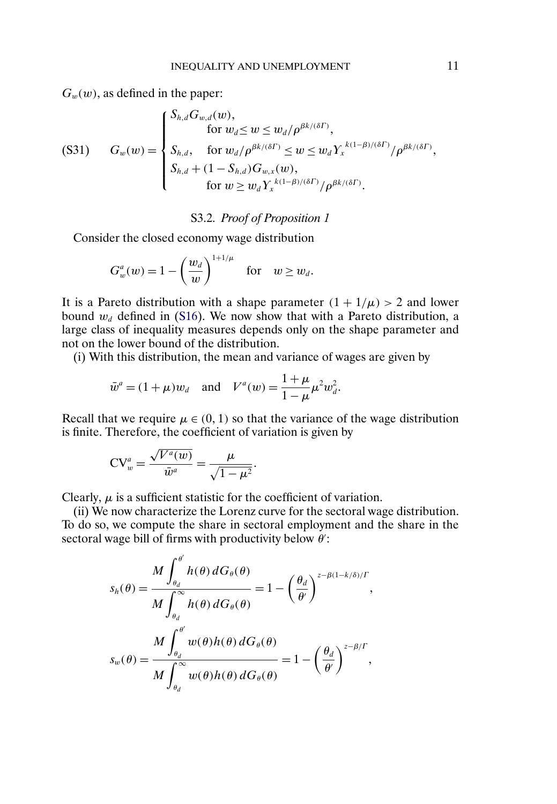<span id="page-10-0"></span> $G_w(w)$ , as defined in the paper:

(S31) 
$$
G_w(w) = \begin{cases} S_{h,d}G_{w,d}(w), & \text{for } w_d \le w \le w_d/\rho^{\beta k/(\delta\Gamma)}, \\ S_{h,d}, & \text{for } w_d/\rho^{\beta k/(\delta\Gamma)} \le w \le w_d Y_x^{k(1-\beta)/(\delta\Gamma)}/\rho^{\beta k/(\delta\Gamma)}, \\ S_{h,d} + (1 - S_{h,d})G_{w,x}(w), & \text{for } w \ge w_d Y_x^{k(1-\beta)/(\delta\Gamma)}/\rho^{\beta k/(\delta\Gamma)}. \end{cases}
$$

## S3.2. *Proof of Proposition 1*

Consider the closed economy wage distribution

$$
G_w^a(w) = 1 - \left(\frac{w_d}{w}\right)^{1+1/\mu} \quad \text{for} \quad w \ge w_d.
$$

It is a Pareto distribution with a shape parameter  $(1 + 1/\mu) > 2$  and lower bound  $w_d$  defined in [\(S16\)](#page-4-0). We now show that with a Pareto distribution, a large class of inequality measures depends only on the shape parameter and not on the lower bound of the distribution.

(i) With this distribution, the mean and variance of wages are given by

$$
\bar{w}^a = (1 + \mu)w_d
$$
 and  $V^a(w) = \frac{1 + \mu}{1 - \mu} \mu^2 w_d^2$ .

Recall that we require  $\mu \in (0, 1)$  so that the variance of the wage distribution is finite. Therefore, the coefficient of variation is given by

$$
CV_w^a = \frac{\sqrt{V^a(w)}}{\bar{w}^a} = \frac{\mu}{\sqrt{1-\mu^2}}.
$$

Clearly,  $\mu$  is a sufficient statistic for the coefficient of variation.

(ii) We now characterize the Lorenz curve for the sectoral wage distribution. To do so, we compute the share in sectoral employment and the share in the sectoral wage bill of firms with productivity below  $\theta$ :

$$
s_h(\theta) = \frac{M \int_{\theta_d}^{\theta'} h(\theta) dG_{\theta}(\theta)}{M \int_{\theta_d}^{\infty} h(\theta) dG_{\theta}(\theta)} = 1 - \left(\frac{\theta_d}{\theta'}\right)^{z - \beta(1 - k/\delta)/\Gamma},
$$

$$
s_w(\theta) = \frac{M \int_{\theta_d}^{\theta'} w(\theta) h(\theta) dG_{\theta}(\theta)}{M \int_{\theta_d}^{\infty} w(\theta) h(\theta) dG_{\theta}(\theta)} = 1 - \left(\frac{\theta_d}{\theta'}\right)^{z - \beta/\Gamma},
$$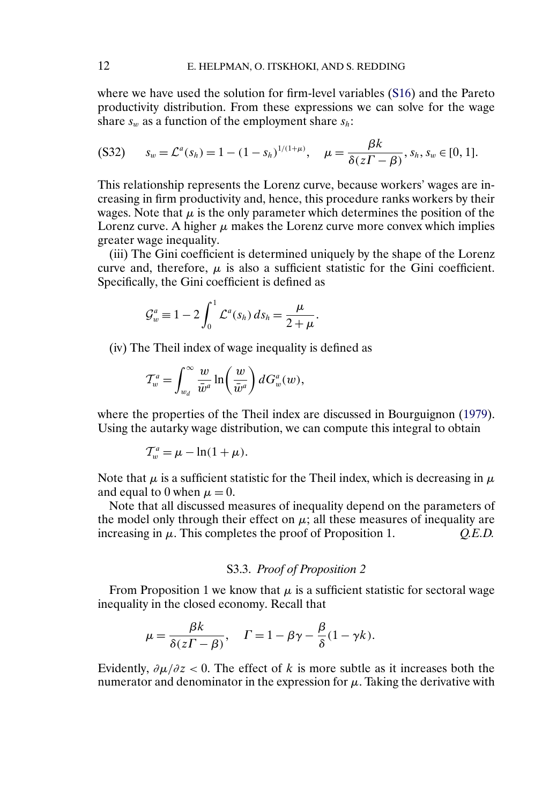<span id="page-11-0"></span>where we have used the solution for firm-level variables [\(S16\)](#page-4-0) and the Pareto productivity distribution. From these expressions we can solve for the wage share  $s_w$  as a function of the employment share  $s_h$ .

$$
(S32) \qquad s_w = \mathcal{L}^a(s_h) = 1 - (1 - s_h)^{1/(1 + \mu)}, \quad \mu = \frac{\beta k}{\delta(z\Gamma - \beta)}, s_h, s_w \in [0, 1].
$$

This relationship represents the Lorenz curve, because workers' wages are increasing in firm productivity and, hence, this procedure ranks workers by their wages. Note that  $\mu$  is the only parameter which determines the position of the Lorenz curve. A higher  $\mu$  makes the Lorenz curve more convex which implies greater wage inequality.

(iii) The Gini coefficient is determined uniquely by the shape of the Lorenz curve and, therefore,  $\mu$  is also a sufficient statistic for the Gini coefficient. Specifically, the Gini coefficient is defined as

$$
\mathcal{G}_w^a \equiv 1 - 2 \int_0^1 \mathcal{L}^a(s_h) \, ds_h = \frac{\mu}{2 + \mu}.
$$

(iv) The Theil index of wage inequality is defined as

$$
\mathcal{T}^a_w = \int_{w_d}^{\infty} \frac{w}{\bar{w}^a} \ln\left(\frac{w}{\bar{w}^a}\right) dG_w^a(w),
$$

where the properties of the Theil index are discussed in Bourguignon [\(1979\)](#page-34-0). Using the autarky wage distribution, we can compute this integral to obtain

$$
\mathcal{T}_w^a = \mu - \ln(1 + \mu).
$$

Note that  $\mu$  is a sufficient statistic for the Theil index, which is decreasing in  $\mu$ and equal to 0 when  $\mu = 0$ .

Note that all discussed measures of inequality depend on the parameters of the model only through their effect on  $\mu$ ; all these measures of inequality are increasing in μ. This completes the proof of Proposition 1. *Q.E.D.*

# S3.3. *Proof of Proposition 2*

From Proposition 1 we know that  $\mu$  is a sufficient statistic for sectoral wage inequality in the closed economy. Recall that

$$
\mu = \frac{\beta k}{\delta(z\Gamma - \beta)}, \quad \Gamma = 1 - \beta \gamma - \frac{\beta}{\delta} (1 - \gamma k).
$$

Evidently,  $\partial \mu / \partial z < 0$ . The effect of k is more subtle as it increases both the numerator and denominator in the expression for  $\mu$ . Taking the derivative with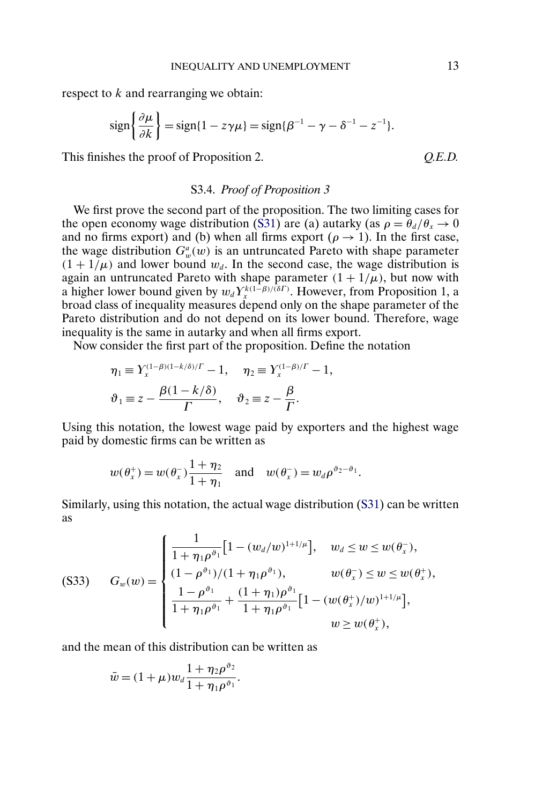<span id="page-12-0"></span>respect to k and rearranging we obtain:

$$
\operatorname{sign}\left\{\frac{\partial \mu}{\partial k}\right\} = \operatorname{sign}\{1 - z\gamma\mu\} = \operatorname{sign}\{\beta^{-1} - \gamma - \delta^{-1} - z^{-1}\}.
$$

This finishes the proof of Proposition 2. *Q.E.D.* 

### S3.4. *Proof of Proposition 3*

We first prove the second part of the proposition. The two limiting cases for the open economy wage distribution [\(S31\)](#page-10-0) are (a) autarky (as  $\rho = \theta_d/\theta_x \rightarrow 0$ and no firms export) and (b) when all firms export ( $\rho \rightarrow 1$ ). In the first case, the wage distribution  $G_w^a(w)$  is an untruncated Pareto with shape parameter  $(1 + 1/\mu)$  and lower bound  $w_d$ . In the second case, the wage distribution is again an untruncated Pareto with shape parameter  $(1 + 1/\mu)$ , but now with a higher lower bound given by  $w_d Y_x^{k(1-\beta)/(\delta\Gamma)}$ . However, from Proposition 1, a broad class of inequality measures depend only on the shape parameter of the Pareto distribution and do not depend on its lower bound. Therefore, wage inequality is the same in autarky and when all firms export.

Now consider the first part of the proposition. Define the notation

$$
\eta_1 \equiv Y_x^{(1-\beta)(1-k/\delta)/\Gamma} - 1, \quad \eta_2 \equiv Y_x^{(1-\beta)/\Gamma} - 1,
$$
  

$$
\vartheta_1 \equiv z - \frac{\beta(1-k/\delta)}{\Gamma}, \quad \vartheta_2 \equiv z - \frac{\beta}{\Gamma}.
$$

Using this notation, the lowest wage paid by exporters and the highest wage paid by domestic firms can be written as

$$
w(\theta_x^+) = w(\theta_x^-)\frac{1+\eta_2}{1+\eta_1}
$$
 and  $w(\theta_x^-) = w_d \rho^{\vartheta_2-\vartheta_1}$ .

Similarly, using this notation, the actual wage distribution [\(S31\)](#page-10-0) can be written as

(S33) 
$$
G_w(w) = \begin{cases} \frac{1}{1 + \eta_1 \rho^{\vartheta_1}} \Big[ 1 - (w_d/w)^{1 + 1/\mu} \Big], & w_d \le w \le w(\theta_x^-), \\ (1 - \rho^{\vartheta_1}) / (1 + \eta_1 \rho^{\vartheta_1}), & w(\theta_x^-) \le w \le w(\theta_x^+), \\ \frac{1 - \rho^{\vartheta_1}}{1 + \eta_1 \rho^{\vartheta_1}} + \frac{(1 + \eta_1) \rho^{\vartheta_1}}{1 + \eta_1 \rho^{\vartheta_1}} \Big[ 1 - (w(\theta_x^+)/w)^{1 + 1/\mu} \Big], \\ w \ge w(\theta_x^+), \end{cases}
$$

and the mean of this distribution can be written as

$$
\bar{w} = (1 + \mu) w_d \frac{1 + \eta_2 \rho^{\vartheta_2}}{1 + \eta_1 \rho^{\vartheta_1}}.
$$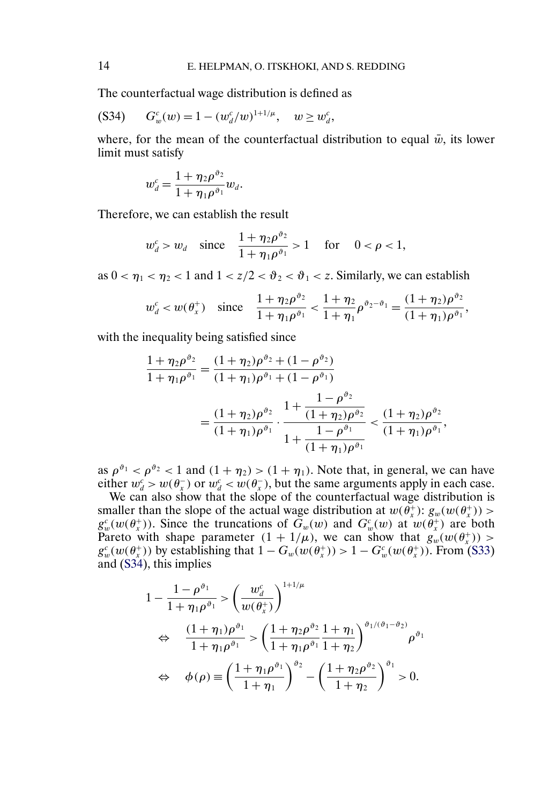The counterfactual wage distribution is defined as

$$
(S34) \tG_w^c(w) = 1 - (w_d^c/w)^{1+1/\mu}, \t w \ge w_d^c,
$$

where, for the mean of the counterfactual distribution to equal  $\bar{w}$ , its lower limit must satisfy

$$
w_d^c = \frac{1 + \eta_2 \rho^{\vartheta_2}}{1 + \eta_1 \rho^{\vartheta_1}} w_d.
$$

Therefore, we can establish the result

$$
w_d^c > w_d
$$
 since  $\frac{1 + \eta_2 \rho^{\vartheta_2}}{1 + \eta_1 \rho^{\vartheta_1}} > 1$  for  $0 < \rho < 1$ ,

as  $0 < \eta_1 < \eta_2 < 1$  and  $1 < z/2 < \vartheta_2 < \vartheta_1 < z$ . Similarly, we can establish

$$
w_d^c < w(\theta_x^+)
$$
 since  $\frac{1 + \eta_2 \rho^{\vartheta_2}}{1 + \eta_1 \rho^{\vartheta_1}} < \frac{1 + \eta_2}{1 + \eta_1} \rho^{\vartheta_2 - \vartheta_1} = \frac{(1 + \eta_2) \rho^{\vartheta_2}}{(1 + \eta_1) \rho^{\vartheta_1}},$ 

with the inequality being satisfied since

$$
\frac{1+\eta_2 \rho^{\vartheta_2}}{1+\eta_1 \rho^{\vartheta_1}} = \frac{(1+\eta_2) \rho^{\vartheta_2} + (1-\rho^{\vartheta_2})}{(1+\eta_1) \rho^{\vartheta_1} + (1-\rho^{\vartheta_1})}
$$

$$
= \frac{(1+\eta_2) \rho^{\vartheta_2}}{(1+\eta_1) \rho^{\vartheta_1}} \cdot \frac{1+\frac{1-\rho^{\vartheta_2}}{(1+\eta_2) \rho^{\vartheta_2}}}{1+\frac{1-\rho^{\vartheta_1}}{(1+\eta_1) \rho^{\vartheta_1}}} < \frac{(1+\eta_2) \rho^{\vartheta_2}}{(1+\eta_1) \rho^{\vartheta_1}},
$$

as  $\rho^{\vartheta_1} < \rho^{\vartheta_2} < 1$  and  $(1 + \eta_2) > (1 + \eta_1)$ . Note that, in general, we can have either  $w_d^c > w(\theta_x^-)$  or  $w_d^c < w(\theta_x^-)$ , but the same arguments apply in each case.

We can also show that the slope of the counterfactual wage distribution is smaller than the slope of the actual wage distribution at  $w(\theta_x^+)$ :  $g_w(w(\theta_x^+))$  >  $g_w^c(w(\theta_x^+))$ . Since the truncations of  $G_w(w)$  and  $G_w^c(w)$  at  $w(\theta_x^+)$  are both Pareto with shape parameter  $(1 + 1/\mu)$ , we can show that  $g_w(w(\theta_x^+))$  >  $g_w^c(w(\theta_x^+))$  by establishing that  $1 - G_w(w(\theta_x^+)) > 1 - G_w^c(w(\theta_x^+))$ . From [\(S33\)](#page-12-0) and (S34), this implies

$$
1 - \frac{1 - \rho^{\vartheta_1}}{1 + \eta_1 \rho^{\vartheta_1}} > \left(\frac{w_d^c}{w(\theta_x^+)}\right)^{1 + 1/\mu}
$$
  
\n
$$
\Leftrightarrow \frac{(1 + \eta_1)\rho^{\vartheta_1}}{1 + \eta_1 \rho^{\vartheta_1}} > \left(\frac{1 + \eta_2 \rho^{\vartheta_2}}{1 + \eta_1 \rho^{\vartheta_1}} \frac{1 + \eta_1}{1 + \eta_2}\right)^{\vartheta_1/(\vartheta_1 - \vartheta_2)} \rho^{\vartheta_1}
$$
  
\n
$$
\Leftrightarrow \phi(\rho) \equiv \left(\frac{1 + \eta_1 \rho^{\vartheta_1}}{1 + \eta_1}\right)^{\vartheta_2} - \left(\frac{1 + \eta_2 \rho^{\vartheta_2}}{1 + \eta_2}\right)^{\vartheta_1} > 0.
$$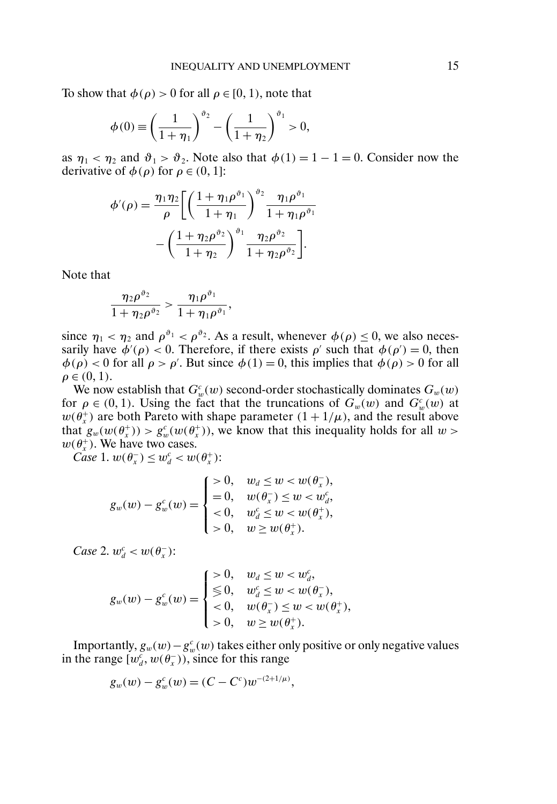To show that  $\phi(\rho) > 0$  for all  $\rho \in [0, 1)$ , note that

$$
\phi(0) \equiv \left(\frac{1}{1+\eta_1}\right)^{\vartheta_2} - \left(\frac{1}{1+\eta_2}\right)^{\vartheta_1} > 0,
$$

as  $\eta_1 < \eta_2$  and  $\vartheta_1 > \vartheta_2$ . Note also that  $\phi(1) = 1 - 1 = 0$ . Consider now the derivative of  $\phi(\rho)$  for  $\rho \in (0, 1]$ :

$$
\phi'(\rho) = \frac{\eta_1 \eta_2}{\rho} \left[ \left( \frac{1 + \eta_1 \rho^{\vartheta_1}}{1 + \eta_1} \right)^{\vartheta_2} \frac{\eta_1 \rho^{\vartheta_1}}{1 + \eta_1 \rho^{\vartheta_1}} - \left( \frac{1 + \eta_2 \rho^{\vartheta_2}}{1 + \eta_2} \right)^{\vartheta_1} \frac{\eta_2 \rho^{\vartheta_2}}{1 + \eta_2 \rho^{\vartheta_2}} \right].
$$

Note that

$$
\frac{\eta_2 \rho^{\vartheta_2}}{1+\eta_2 \rho^{\vartheta_2}} > \frac{\eta_1 \rho^{\vartheta_1}}{1+\eta_1 \rho^{\vartheta_1}},
$$

since  $\eta_1 < \eta_2$  and  $\rho^{\vartheta_1} < \rho^{\vartheta_2}$ . As a result, whenever  $\phi(\rho) \leq 0$ , we also necessarily have  $\phi'(\rho) < 0$ . Therefore, if there exists  $\rho'$  such that  $\phi(\rho') = 0$ , then  $\phi(\rho) < 0$  for all  $\rho > \rho'$ . But since  $\phi(1) = 0$ , this implies that  $\phi(\rho) > 0$  for all  $\rho \in (0, 1)$ .

We now establish that  $G_w^c(w)$  second-order stochastically dominates  $G_w(w)$ for  $\rho \in (0, 1)$ . Using the fact that the truncations of  $G_w(w)$  and  $G_w^c(w)$  at  $w(\theta_x^+)$  are both Pareto with shape parameter  $(1 + 1/\mu)$ , and the result above that  $g_w(w(\theta_x^+)) > g_w^c(w(\theta_x^+))$ , we know that this inequality holds for all  $w >$  $w(\theta_x^+)$ . We have two cases.

*Case* 1.  $w(\theta_x^+) \leq w_d^c < w(\theta_x^+)$ :

$$
g_w(w) - g_w^c(w) = \begin{cases} >0, & w_d \leq w < w(\theta_x^-), \\ =0, & w(\theta_x^-) \leq w < w_d^c, \\ <0, & w_d^c \leq w < w(\theta_x^+), \\ >0, & w \geq w(\theta_x^+). \end{cases}
$$

*Case* 2.  $w_d^c < w(\theta_x^-)$ :

$$
g_w(w) - g_w^c(w) = \begin{cases} >0, & w_d \leq w < w_d^c, \\ \leq 0, & w_d^c \leq w < w(\theta_x^-), \\ <0, & w(\theta_x^-) \leq w < w(\theta_x^+), \\ >0, & w \geq w(\theta_x^+). \end{cases}
$$

Importantly,  $g_w(w) - g_w^c(w)$  takes either only positive or only negative values in the range  $[w_d^c, w(\theta_x))$ , since for this range

$$
g_w(w) - g_w^c(w) = (C - C^c)w^{-(2+1/\mu)},
$$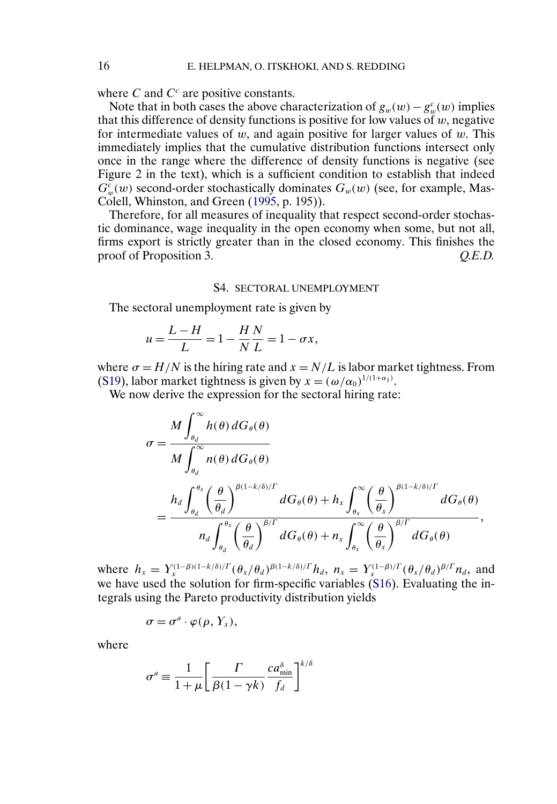where C and  $C<sup>c</sup>$  are positive constants.

Note that in both cases the above characterization of  $g_w(w) - g_w^c(w)$  implies that this difference of density functions is positive for low values of  $w$ , negative for intermediate values of  $w$ , and again positive for larger values of  $w$ . This immediately implies that the cumulative distribution functions intersect only once in the range where the difference of density functions is negative (see Figure 2 in the text), which is a sufficient condition to establish that indeed  $G_w^c(w)$  second-order stochastically dominates  $G_w(w)$  (see, for example, Mas-Colell, Whinston, and Green [\(1995,](#page-34-0) p. 195)).

Therefore, for all measures of inequality that respect second-order stochastic dominance, wage inequality in the open economy when some, but not all, firms export is strictly greater than in the closed economy. This finishes the proof of Proposition 3. *Q.E.D.* 

#### S4. SECTORAL UNEMPLOYMENT

The sectoral unemployment rate is given by

$$
u = \frac{L - H}{L} = 1 - \frac{H N}{N L} = 1 - \sigma x,
$$

where  $\sigma = H/N$  is the hiring rate and  $x = N/L$  is labor market tightness. From [\(S19\)](#page-5-0), labor market tightness is given by  $x = (\omega/\alpha_0)^{1/(1+\alpha_1)}$ .

We now derive the expression for the sectoral hiring rate:

$$
\sigma = \frac{M \int_{\theta_d}^{\infty} h(\theta) dG_{\theta}(\theta)}{M \int_{\theta_d}^{\infty} n(\theta) dG_{\theta}(\theta)}
$$
  
= 
$$
\frac{h_d \int_{\theta_d}^{\theta_x} \left(\frac{\theta}{\theta_d}\right)^{\beta(1-k/\delta)/\Gamma} dG_{\theta}(\theta) + h_x \int_{\theta_x}^{\infty} \left(\frac{\theta}{\theta_x}\right)^{\beta(1-k/\delta)/\Gamma} dG_{\theta}(\theta)}{n_d \int_{\theta_d}^{\theta_x} \left(\frac{\theta}{\theta_d}\right)^{\beta/\Gamma} dG_{\theta}(\theta) + n_x \int_{\theta_x}^{\infty} \left(\frac{\theta}{\theta_x}\right)^{\beta/\Gamma} dG_{\theta}(\theta)},
$$

where  $h_x = Y_x^{(1-\beta)(1-k/\delta)/\Gamma} (\theta_x/\theta_d)^{\beta(1-k/\delta)/\Gamma} h_d$ ,  $n_x = Y_x^{(1-\beta)/\Gamma} (\theta_x/\theta_d)^{\beta/\Gamma} n_d$ , and we have used the solution for firm-specific variables [\(S16\)](#page-4-0). Evaluating the integrals using the Pareto productivity distribution yields

$$
\sigma=\sigma^a\cdot\varphi(\rho,Y_x),
$$

where

$$
\sigma^a \equiv \frac{1}{1+\mu} \left[ \frac{\Gamma}{\beta(1-\gamma k)} \frac{c a_{\min}^{\delta}}{f_d} \right]^{k/\delta}
$$

<span id="page-15-0"></span>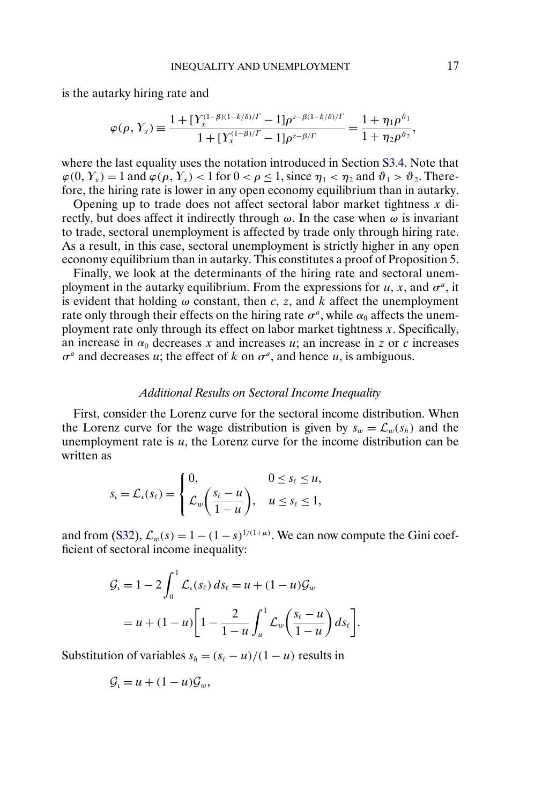is the autarky hiring rate and

$$
\varphi(\rho, Y_x) \equiv \frac{1 + [Y_x^{(1-\beta)(1-k/\delta)/\Gamma} - 1]\rho^{z-\beta(1-k/\delta)/\Gamma}}{1 + [Y_x^{(1-\beta)/\Gamma} - 1]\rho^{z-\beta/\Gamma}} = \frac{1 + \eta_1 \rho^{\vartheta_1}}{1 + \eta_2 \rho^{\vartheta_2}},
$$

where the last equality uses the notation introduced in Section [S3.4.](#page-12-0) Note that  $\varphi(0, Y_x) = 1$  and  $\varphi(\rho, Y_x) < 1$  for  $0 < \rho \le 1$ , since  $\eta_1 < \eta_2$  and  $\vartheta_1 > \vartheta_2$ . Therefore, the hiring rate is lower in any open economy equilibrium than in autarky.

Opening up to trade does not affect sectoral labor market tightness  $x$  directly, but does affect it indirectly through  $\omega$ . In the case when  $\omega$  is invariant to trade, sectoral unemployment is affected by trade only through hiring rate. As a result, in this case, sectoral unemployment is strictly higher in any open economy equilibrium than in autarky. This constitutes a proof of Proposition 5.

Finally, we look at the determinants of the hiring rate and sectoral unemployment in the autarky equilibrium. From the expressions for u, x, and  $\sigma^a$ , it is evident that holding  $\omega$  constant, then c, z, and k affect the unemployment rate only through their effects on the hiring rate  $\sigma^a$ , while  $\alpha_0$  affects the unemployment rate only through its effect on labor market tightness  $x$ . Specifically, an increase in  $\alpha_0$  decreases x and increases u; an increase in z or c increases  $\sigma^a$  and decreases u; the effect of k on  $\sigma^a$ , and hence u, is ambiguous.

### *Additional Results on Sectoral Income Inequality*

First, consider the Lorenz curve for the sectoral income distribution. When the Lorenz curve for the wage distribution is given by  $s_w = \mathcal{L}_w(s_h)$  and the unemployment rate is  $u$ , the Lorenz curve for the income distribution can be written as

$$
s_{\iota} = \mathcal{L}_{\iota}(s_{\ell}) = \begin{cases} 0, & 0 \le s_{\ell} \le u, \\ \mathcal{L}_{w}\left(\frac{s_{\ell} - u}{1 - u}\right), & u \le s_{\ell} \le 1, \end{cases}
$$

and from [\(S32\)](#page-11-0),  $\mathcal{L}_w(s) = 1 - (1 - s)^{1/(1 + \mu)}$ . We can now compute the Gini coefficient of sectoral income inequality:

$$
\mathcal{G}_{\iota} = 1 - 2 \int_0^1 \mathcal{L}_{\iota}(s_{\ell}) ds_{\ell} = u + (1 - u) \mathcal{G}_{w}
$$
  
=  $u + (1 - u) \left[ 1 - \frac{2}{1 - u} \int_u^1 \mathcal{L}_{w} \left( \frac{s_{\ell} - u}{1 - u} \right) ds_{\ell} \right].$ 

Substitution of variables  $s_h = (s_\ell - u)/(1 - u)$  results in

$$
\mathcal{G}_{\iota} = u + (1 - u)\mathcal{G}_{w},
$$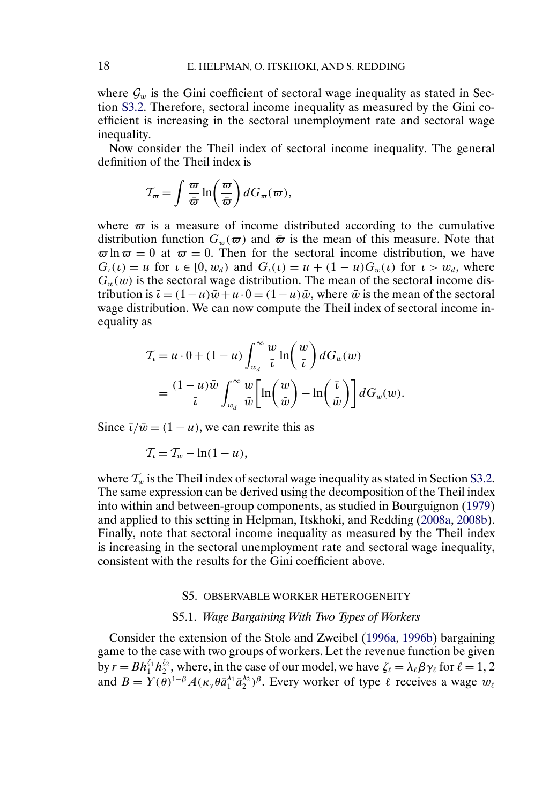<span id="page-17-0"></span>where  $\mathcal{G}_w$  is the Gini coefficient of sectoral wage inequality as stated in Section [S3.2.](#page-10-0) Therefore, sectoral income inequality as measured by the Gini coefficient is increasing in the sectoral unemployment rate and sectoral wage inequality.

Now consider the Theil index of sectoral income inequality. The general definition of the Theil index is

$$
\mathcal{T}_{\varpi} = \int \frac{\varpi}{\bar{\varpi}} \ln \left( \frac{\varpi}{\bar{\varpi}} \right) dG_{\varpi}(\varpi),
$$

where  $\varpi$  is a measure of income distributed according to the cumulative distribution function  $G_{\pi}(\varpi)$  and  $\bar{\varpi}$  is the mean of this measure. Note that  $\varpi \ln \varpi = 0$  at  $\varpi = 0$ . Then for the sectoral income distribution, we have  $G_i(\iota) = u$  for  $\iota \in [0, w_d)$  and  $G_i(\iota) = u + (1 - u)G_w(\iota)$  for  $\iota > w_d$ , where  $G_w(w)$  is the sectoral wage distribution. The mean of the sectoral income distribution is  $\bar{\iota} = (1 - u)\bar{w} + u \cdot 0 = (1 - u)\bar{w}$ , where  $\bar{w}$  is the mean of the sectoral wage distribution. We can now compute the Theil index of sectoral income inequality as

$$
T_{\iota} = u \cdot 0 + (1 - u) \int_{w_d}^{\infty} \frac{w}{\bar{\iota}} \ln\left(\frac{w}{\bar{\iota}}\right) dG_w(w)
$$
  
= 
$$
\frac{(1 - u)\bar{w}}{\bar{\iota}} \int_{w_d}^{\infty} \frac{w}{\bar{w}} \left[ \ln\left(\frac{w}{\bar{w}}\right) - \ln\left(\frac{\bar{\iota}}{\bar{w}}\right) \right] dG_w(w).
$$

Since  $\bar{\iota}/\bar{w} = (1 - u)$ , we can rewrite this as

 $\mathcal{T}_u = \mathcal{T}_w - \ln(1-u),$ 

where  $\mathcal{T}_w$  is the Theil index of sectoral wage inequality as stated in Section [S3.2.](#page-10-0) The same expression can be derived using the decomposition of the Theil index into within and between-group components, as studied in Bourguignon [\(1979\)](#page-34-0) and applied to this setting in Helpman, Itskhoki, and Redding [\(2008a,](#page-34-0) [2008b\)](#page-34-0). Finally, note that sectoral income inequality as measured by the Theil index is increasing in the sectoral unemployment rate and sectoral wage inequality, consistent with the results for the Gini coefficient above.

#### S5. OBSERVABLE WORKER HETEROGENEITY

## S5.1. *Wage Bargaining With Two Types of Workers*

Consider the extension of the Stole and Zweibel [\(1996a,](#page-34-0) [1996b\)](#page-34-0) bargaining game to the case with two groups of workers. Let the revenue function be given by  $r = Bh_1^{\zeta_1} h_2^{\zeta_2}$ , where, in the case of our model, we have  $\zeta_\ell = \lambda_\ell \beta \gamma_\ell$  for  $\ell = 1, 2$ and  $B = Y(\theta)^{1-\beta} A(\kappa_y \theta \bar{a}_1^{\lambda_1} \bar{a}_2^{\lambda_2})^{\beta}$ . Every worker of type  $\ell$  receives a wage  $w_{\ell}$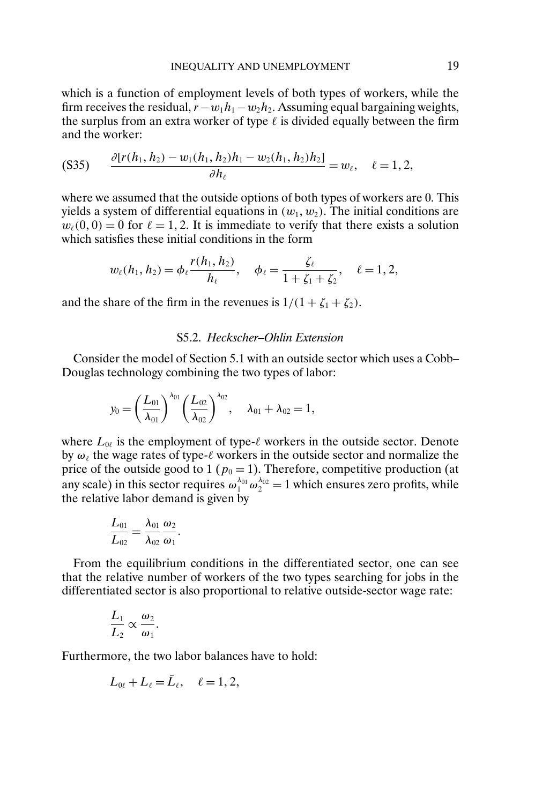<span id="page-18-0"></span>which is a function of employment levels of both types of workers, while the firm receives the residual,  $r - w_1h_1 - w_2h_2$ . Assuming equal bargaining weights, the surplus from an extra worker of type  $\ell$  is divided equally between the firm and the worker:

$$
(S35) \qquad \frac{\partial [r(h_1, h_2) - w_1(h_1, h_2)h_1 - w_2(h_1, h_2)h_2]}{\partial h_\ell} = w_\ell, \quad \ell = 1, 2,
$$

where we assumed that the outside options of both types of workers are 0. This yields a system of differential equations in  $(w_1, w_2)$ . The initial conditions are  $w_{\ell}(0, 0) = 0$  for  $\ell = 1, 2$ . It is immediate to verify that there exists a solution which satisfies these initial conditions in the form

$$
w_{\ell}(h_1, h_2) = \phi_{\ell} \frac{r(h_1, h_2)}{h_{\ell}}, \quad \phi_{\ell} = \frac{\zeta_{\ell}}{1 + \zeta_1 + \zeta_2}, \quad \ell = 1, 2,
$$

and the share of the firm in the revenues is  $1/(1 + \zeta_1 + \zeta_2)$ .

### S5.2. *Heckscher–Ohlin Extension*

Consider the model of Section 5.1 with an outside sector which uses a Cobb– Douglas technology combining the two types of labor:

$$
y_0 = \left(\frac{L_{01}}{\lambda_{01}}\right)^{\lambda_{01}} \left(\frac{L_{02}}{\lambda_{02}}\right)^{\lambda_{02}}, \quad \lambda_{01} + \lambda_{02} = 1,
$$

where  $L_{0\ell}$  is the employment of type- $\ell$  workers in the outside sector. Denote by  $\omega_{\ell}$  the wage rates of type- $\ell$  workers in the outside sector and normalize the price of the outside good to 1 ( $p_0 = 1$ ). Therefore, competitive production (at any scale) in this sector requires  $\omega_1^{\lambda_{01}} \omega_2^{\lambda_{02}} = 1$  which ensures zero profits, while the relative labor demand is given by

$$
\frac{L_{01}}{L_{02}}=\frac{\lambda_{01}}{\lambda_{02}}\frac{\omega_2}{\omega_1}.
$$

From the equilibrium conditions in the differentiated sector, one can see that the relative number of workers of the two types searching for jobs in the differentiated sector is also proportional to relative outside-sector wage rate:

$$
\frac{L_1}{L_2} \propto \frac{\omega_2}{\omega_1}.
$$

Furthermore, the two labor balances have to hold:

$$
L_{0\ell}+L_{\ell}=\bar{L}_{\ell},\quad \ell=1,2,
$$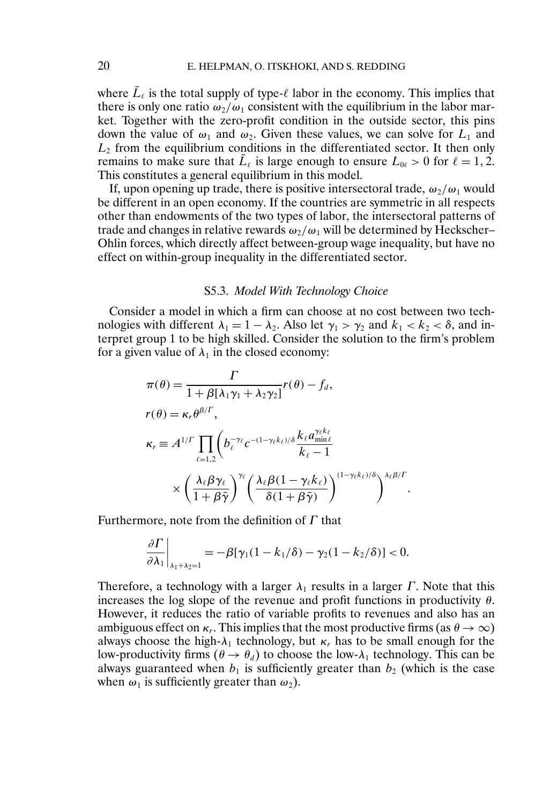where  $\bar{L}_{\ell}$  is the total supply of type- $\ell$  labor in the economy. This implies that there is only one ratio  $\omega_2/\omega_1$  consistent with the equilibrium in the labor market. Together with the zero-profit condition in the outside sector, this pins down the value of  $\omega_1$  and  $\omega_2$ . Given these values, we can solve for  $L_1$  and  $L<sub>2</sub>$  from the equilibrium conditions in the differentiated sector. It then only remains to make sure that  $L_{\ell}$  is large enough to ensure  $L_{0\ell} > 0$  for  $\ell = 1, 2$ . This constitutes a general equilibrium in this model.

If, upon opening up trade, there is positive intersectoral trade,  $\omega_2/\omega_1$  would be different in an open economy. If the countries are symmetric in all respects other than endowments of the two types of labor, the intersectoral patterns of trade and changes in relative rewards  $\omega_2/\omega_1$  will be determined by Heckscher– Ohlin forces, which directly affect between-group wage inequality, but have no effect on within-group inequality in the differentiated sector.

#### S5.3. *Model With Technology Choice*

Consider a model in which a firm can choose at no cost between two technologies with different  $\lambda_1 = 1 - \lambda_2$ . Also let  $\gamma_1 > \gamma_2$  and  $k_1 < k_2 < \delta$ , and interpret group 1 to be high skilled. Consider the solution to the firm's problem for a given value of  $\lambda_1$  in the closed economy:

$$
\pi(\theta) = \frac{\Gamma}{1 + \beta[\lambda_1 \gamma_1 + \lambda_2 \gamma_2]} r(\theta) - f_d,
$$
\n
$$
r(\theta) = \kappa_r \theta^{\beta/\Gamma},
$$
\n
$$
\kappa_r \equiv A^{1/\Gamma} \prod_{\ell=1,2} \left( b_\ell^{-\gamma_\ell} c^{-(1-\gamma_\ell k_\ell)/\delta} \frac{k_\ell a_{\min\ell}^{\gamma_\ell k_\ell}}{k_\ell - 1} \right.\n\times \left( \frac{\lambda_\ell \beta \gamma_\ell}{1 + \beta \bar{\gamma}} \right)^{\gamma_\ell} \left( \frac{\lambda_\ell \beta (1 - \gamma_\ell k_\ell)}{\delta (1 + \beta \bar{\gamma})} \right)^{(1 - \gamma_\ell k_\ell)/\delta} \right)^{\lambda_\ell \beta/\Gamma}.
$$

Furthermore, note from the definition of  $\Gamma$  that

$$
\frac{\partial \Gamma}{\partial \lambda_1}\bigg|_{\lambda_1+\lambda_2=1}=-\beta[\gamma_1(1-k_1/\delta)-\gamma_2(1-k_2/\delta)]<0.
$$

Therefore, a technology with a larger  $\lambda_1$  results in a larger  $\Gamma$ . Note that this increases the log slope of the revenue and profit functions in productivity  $\theta$ . However, it reduces the ratio of variable profits to revenues and also has an ambiguous effect on  $\kappa_r$ . This implies that the most productive firms (as  $\theta \to \infty$ ) always choose the high- $\lambda_1$  technology, but  $\kappa_r$  has to be small enough for the low-productivity firms ( $\theta \rightarrow \theta_d$ ) to choose the low- $\lambda_1$  technology. This can be always guaranteed when  $b_1$  is sufficiently greater than  $b_2$  (which is the case when  $\omega_1$  is sufficiently greater than  $\omega_2$ ).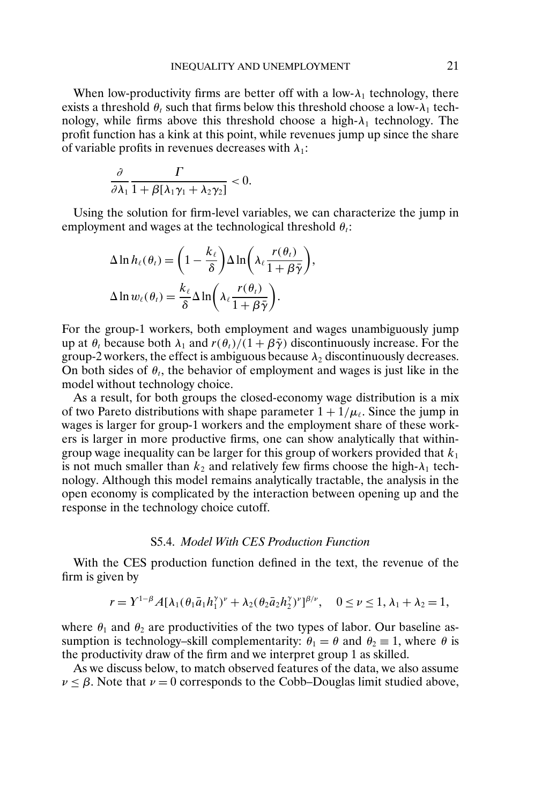When low-productivity firms are better off with a low- $\lambda_1$  technology, there exists a threshold  $\theta_t$  such that firms below this threshold choose a low- $\lambda_1$  technology, while firms above this threshold choose a high- $\lambda_1$  technology. The profit function has a kink at this point, while revenues jump up since the share of variable profits in revenues decreases with  $\lambda_1$ :

$$
\frac{\partial}{\partial \lambda_1} \frac{\Gamma}{1 + \beta [\lambda_1 \gamma_1 + \lambda_2 \gamma_2]} < 0.
$$

Using the solution for firm-level variables, we can characterize the jump in employment and wages at the technological threshold  $\theta_t$ :

$$
\Delta \ln h_{\ell}(\theta_{\ell}) = \left(1 - \frac{k_{\ell}}{\delta}\right) \Delta \ln \left(\lambda_{\ell} \frac{r(\theta_{\ell})}{1 + \beta \bar{\gamma}}\right),
$$
  

$$
\Delta \ln w_{\ell}(\theta_{\ell}) = \frac{k_{\ell}}{\delta} \Delta \ln \left(\lambda_{\ell} \frac{r(\theta_{\ell})}{1 + \beta \bar{\gamma}}\right).
$$

For the group-1 workers, both employment and wages unambiguously jump up at  $\theta_t$  because both  $\lambda_1$  and  $r(\theta_t)/(1 + \beta \bar{\gamma})$  discontinuously increase. For the group-2 workers, the effect is ambiguous because  $\lambda_2$  discontinuously decreases. On both sides of  $\theta_t$ , the behavior of employment and wages is just like in the model without technology choice.

As a result, for both groups the closed-economy wage distribution is a mix of two Pareto distributions with shape parameter  $1 + 1/\mu_{\ell}$ . Since the jump in wages is larger for group-1 workers and the employment share of these workers is larger in more productive firms, one can show analytically that withingroup wage inequality can be larger for this group of workers provided that  $k_1$ is not much smaller than  $k_2$  and relatively few firms choose the high- $\lambda_1$  technology. Although this model remains analytically tractable, the analysis in the open economy is complicated by the interaction between opening up and the response in the technology choice cutoff.

## S5.4. *Model With CES Production Function*

With the CES production function defined in the text, the revenue of the firm is given by

$$
r = Y^{1-\beta} A [\lambda_1(\theta_1 \bar{a}_1 h_1^{\gamma})^{\nu} + \lambda_2(\theta_2 \bar{a}_2 h_2^{\gamma})^{\nu}]^{\beta/\nu}, \quad 0 \le \nu \le 1, \lambda_1 + \lambda_2 = 1,
$$

where  $\theta_1$  and  $\theta_2$  are productivities of the two types of labor. Our baseline assumption is technology–skill complementarity:  $\theta_1 = \theta$  and  $\theta_2 \equiv 1$ , where  $\theta$  is the productivity draw of the firm and we interpret group 1 as skilled.

As we discuss below, to match observed features of the data, we also assume  $\nu \leq \beta$ . Note that  $\nu = 0$  corresponds to the Cobb–Douglas limit studied above,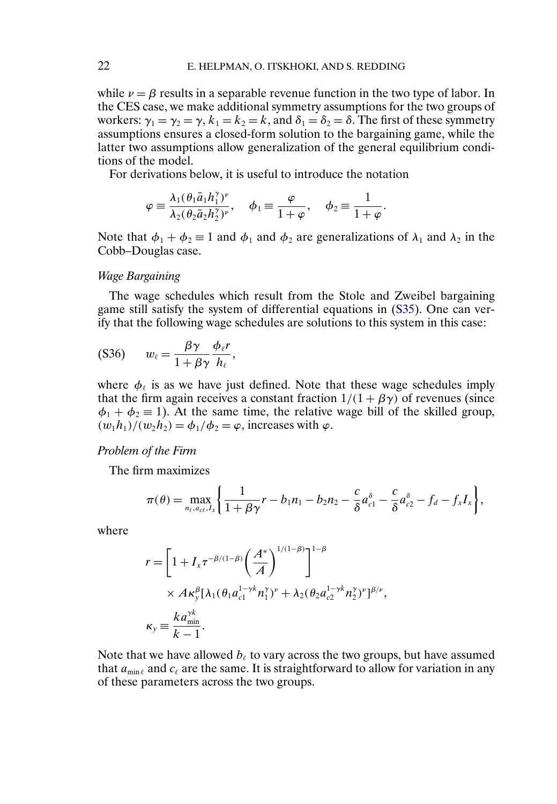while  $\nu = \beta$  results in a separable revenue function in the two type of labor. In the CES case, we make additional symmetry assumptions for the two groups of workers:  $\gamma_1 = \gamma_2 = \gamma$ ,  $k_1 = k_2 = k$ , and  $\delta_1 = \delta_2 = \delta$ . The first of these symmetry assumptions ensures a closed-form solution to the bargaining game, while the latter two assumptions allow generalization of the general equilibrium conditions of the model.

For derivations below, it is useful to introduce the notation

$$
\varphi \equiv \frac{\lambda_1(\theta_1 \bar{a}_1 h_1^{\gamma})^{\nu}}{\lambda_2(\theta_2 \bar{a}_2 h_2^{\gamma})^{\nu}}, \quad \phi_1 \equiv \frac{\varphi}{1+\varphi}, \quad \phi_2 \equiv \frac{1}{1+\varphi}.
$$

Note that  $\phi_1 + \phi_2 \equiv 1$  and  $\phi_1$  and  $\phi_2$  are generalizations of  $\lambda_1$  and  $\lambda_2$  in the Cobb–Douglas case.

#### *Wage Bargaining*

The wage schedules which result from the Stole and Zweibel bargaining game still satisfy the system of differential equations in [\(S35\)](#page-18-0). One can verify that the following wage schedules are solutions to this system in this case:

$$
(S36) \t w_{\ell} = \frac{\beta \gamma}{1 + \beta \gamma} \frac{\phi_{\ell} r}{h_{\ell}},
$$

where  $\phi_{\ell}$  is as we have just defined. Note that these wage schedules imply that the firm again receives a constant fraction  $1/(1 + \beta \gamma)$  of revenues (since  $\phi_1 + \phi_2 \equiv 1$ ). At the same time, the relative wage bill of the skilled group,  $(w_1h_1)/(w_2h_2) = \phi_1/\phi_2 = \varphi$ , increases with  $\varphi$ .

### *Problem of the Firm*

The firm maximizes

$$
\pi(\theta) = \max_{n_{\ell}, a_{c\ell}, I_x} \left\{ \frac{1}{1 + \beta \gamma} r - b_1 n_1 - b_2 n_2 - \frac{c}{\delta} a_{c1}^{\delta} - \frac{c}{\delta} a_{c2}^{\delta} - f_d - f_x I_x \right\},\,
$$

where

$$
r = \left[1 + I_x \tau^{-\beta/(1-\beta)} \left(\frac{A^*}{A}\right)^{1/(1-\beta)}\right]^{1-\beta}
$$
  
 
$$
\times A \kappa_y^{\beta} [\lambda_1(\theta_1 a_{c1}^{1-\gamma k} n_1^{\gamma})^{\nu} + \lambda_2(\theta_2 a_{c2}^{1-\gamma k} n_2^{\gamma})^{\nu}]^{\beta/\nu},
$$
  
\n
$$
\kappa_y \equiv \frac{k a_{\min}^{\gamma k}}{k-1}.
$$

Note that we have allowed  $b_{\ell}$  to vary across the two groups, but have assumed that  $a_{\min \ell}$  and  $c_{\ell}$  are the same. It is straightforward to allow for variation in any of these parameters across the two groups.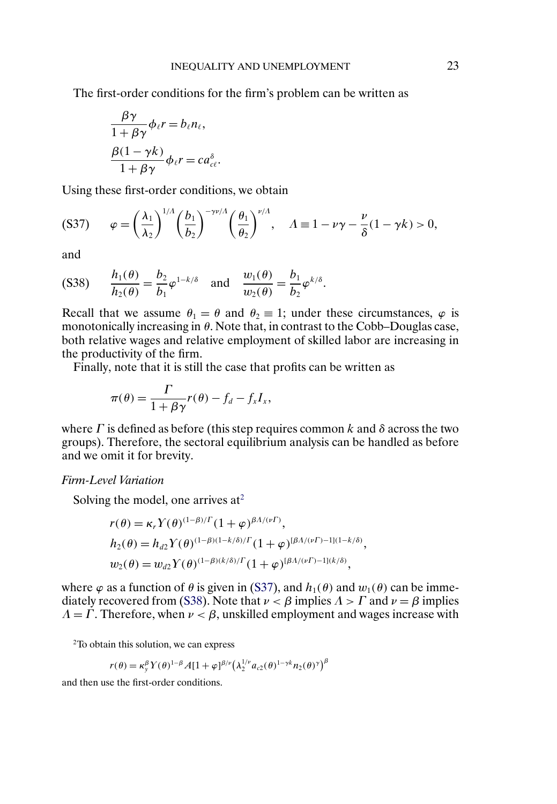<span id="page-22-0"></span>The first-order conditions for the firm's problem can be written as

$$
\frac{\beta \gamma}{1 + \beta \gamma} \phi_{\ell} r = b_{\ell} n_{\ell},
$$
  

$$
\frac{\beta (1 - \gamma k)}{1 + \beta \gamma} \phi_{\ell} r = c a_{\ell}^{\delta}.
$$

Using these first-order conditions, we obtain

$$
(S37) \qquad \varphi = \left(\frac{\lambda_1}{\lambda_2}\right)^{1/\Lambda} \left(\frac{b_1}{b_2}\right)^{-\gamma \nu/\Lambda} \left(\frac{\theta_1}{\theta_2}\right)^{\nu/\Lambda}, \quad \Lambda \equiv 1 - \nu \gamma - \frac{\nu}{\delta} (1 - \gamma k) > 0,
$$

and

$$
(S38) \qquad \frac{h_1(\theta)}{h_2(\theta)} = \frac{b_2}{b_1} \varphi^{1-k/\delta} \quad \text{and} \quad \frac{w_1(\theta)}{w_2(\theta)} = \frac{b_1}{b_2} \varphi^{k/\delta}.
$$

Recall that we assume  $\theta_1 = \theta$  and  $\theta_2 \equiv 1$ ; under these circumstances,  $\varphi$  is monotonically increasing in  $\theta$ . Note that, in contrast to the Cobb–Douglas case, both relative wages and relative employment of skilled labor are increasing in the productivity of the firm.

Finally, note that it is still the case that profits can be written as

$$
\pi(\theta) = \frac{\Gamma}{1 + \beta \gamma} r(\theta) - f_d - f_x I_x,
$$

where  $\Gamma$  is defined as before (this step requires common k and  $\delta$  across the two groups). Therefore, the sectoral equilibrium analysis can be handled as before and we omit it for brevity.

*Firm-Level Variation*

Solving the model, one arrives  $at^2$ 

$$
r(\theta) = \kappa_r Y(\theta)^{(1-\beta)/\Gamma} (1+\varphi)^{\beta A/(v\Gamma)},
$$
  
\n
$$
h_2(\theta) = h_{d2} Y(\theta)^{(1-\beta)(1-k/\delta)/\Gamma} (1+\varphi)^{[\beta A/(v\Gamma)-1](1-k/\delta)},
$$
  
\n
$$
w_2(\theta) = w_{d2} Y(\theta)^{(1-\beta)(k/\delta)/\Gamma} (1+\varphi)^{[\beta A/(v\Gamma)-1](k/\delta)},
$$

where  $\varphi$  as a function of  $\theta$  is given in (S37), and  $h_1(\theta)$  and  $w_1(\theta)$  can be immediately recovered from (S38). Note that  $\nu < \beta$  implies  $\Lambda > \Gamma$  and  $\nu = \beta$  implies  $\Lambda = \Gamma$ . Therefore, when  $\nu < \beta$ , unskilled employment and wages increase with

2To obtain this solution, we can express

$$
r(\theta) = \kappa_y^{\beta} Y(\theta)^{1-\beta} A[1+\varphi]^{\beta/\nu} (\lambda_2^{1/\nu} a_{c2}(\theta)^{1-\gamma k} n_2(\theta)^{\gamma})^{\beta}
$$

and then use the first-order conditions.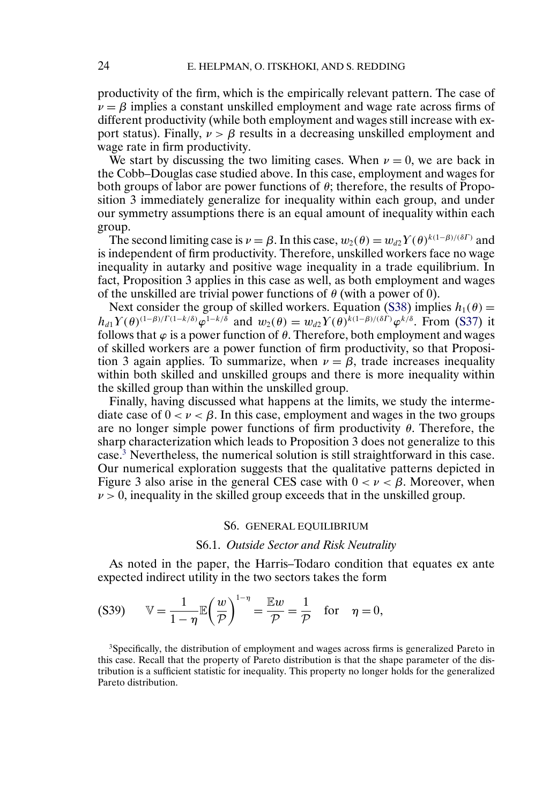<span id="page-23-0"></span>productivity of the firm, which is the empirically relevant pattern. The case of  $\nu = \beta$  implies a constant unskilled employment and wage rate across firms of different productivity (while both employment and wages still increase with export status). Finally,  $\nu > \beta$  results in a decreasing unskilled employment and wage rate in firm productivity.

We start by discussing the two limiting cases. When  $\nu = 0$ , we are back in the Cobb–Douglas case studied above. In this case, employment and wages for both groups of labor are power functions of  $\theta$ ; therefore, the results of Proposition 3 immediately generalize for inequality within each group, and under our symmetry assumptions there is an equal amount of inequality within each group.

The second limiting case is  $\nu = \beta$ . In this case,  $w_2(\theta) = w_{d2} Y(\theta)^{k(1-\beta)/(\delta\Gamma)}$  and is independent of firm productivity. Therefore, unskilled workers face no wage inequality in autarky and positive wage inequality in a trade equilibrium. In fact, Proposition 3 applies in this case as well, as both employment and wages of the unskilled are trivial power functions of  $\theta$  (with a power of 0).

Next consider the group of skilled workers. Equation [\(S38\)](#page-22-0) implies  $h_1(\theta) =$  $h_{d1}Y(\theta)^{(1-\beta)/\Gamma(1-k/\delta)}\varphi^{1-k/\delta}$  and  $w_2(\theta) = w_{d2}Y(\theta)^{k(1-\beta)/(\delta\Gamma)}\varphi^{k/\delta}$ . From [\(S37\)](#page-22-0) it follows that  $\varphi$  is a power function of  $\theta$ . Therefore, both employment and wages of skilled workers are a power function of firm productivity, so that Proposition 3 again applies. To summarize, when  $\nu = \beta$ , trade increases inequality within both skilled and unskilled groups and there is more inequality within the skilled group than within the unskilled group.

Finally, having discussed what happens at the limits, we study the intermediate case of  $0 < \nu < \beta$ . In this case, employment and wages in the two groups are no longer simple power functions of firm productivity  $\theta$ . Therefore, the sharp characterization which leads to Proposition 3 does not generalize to this case.3 Nevertheless, the numerical solution is still straightforward in this case. Our numerical exploration suggests that the qualitative patterns depicted in Figure 3 also arise in the general CES case with  $0 < \nu < \beta$ . Moreover, when  $\nu > 0$ , inequality in the skilled group exceeds that in the unskilled group.

#### S6. GENERAL EQUILIBRIUM

### S6.1. *Outside Sector and Risk Neutrality*

As noted in the paper, the Harris–Todaro condition that equates ex ante expected indirect utility in the two sectors takes the form

$$
(S39) \qquad \mathbb{V} = \frac{1}{1-\eta} \mathbb{E}\left(\frac{w}{\mathcal{P}}\right)^{1-\eta} = \frac{\mathbb{E}w}{\mathcal{P}} = \frac{1}{\mathcal{P}} \quad \text{for} \quad \eta = 0,
$$

<sup>3</sup>Specifically, the distribution of employment and wages across firms is generalized Pareto in this case. Recall that the property of Pareto distribution is that the shape parameter of the distribution is a sufficient statistic for inequality. This property no longer holds for the generalized Pareto distribution.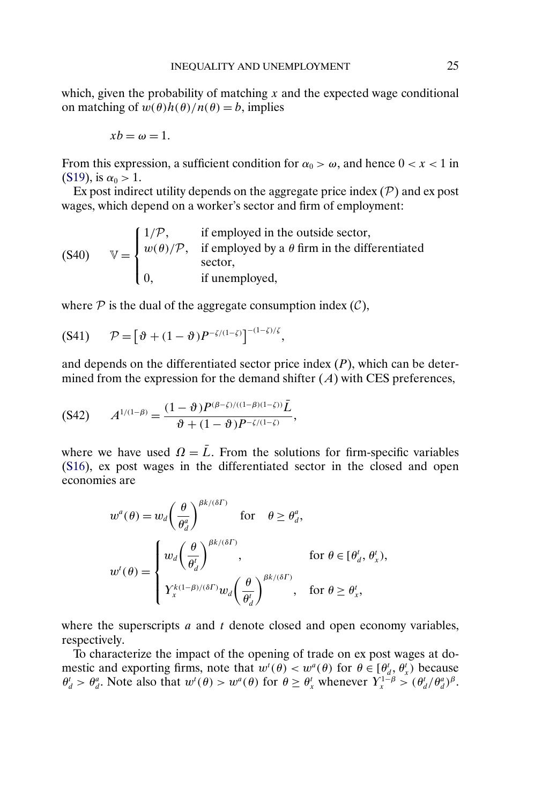<span id="page-24-0"></span>which, given the probability of matching  $x$  and the expected wage conditional on matching of  $w(\theta)h(\theta)/n(\theta) = b$ , implies

$$
xb=\omega=1.
$$

From this expression, a sufficient condition for  $\alpha_0 > \omega$ , and hence  $0 < x < 1$  in [\(S19\)](#page-5-0), is  $\alpha_0 > 1$ .

Ex post indirect utility depends on the aggregate price index  $(\mathcal{P})$  and ex post wages, which depend on a worker's sector and firm of employment:

 $V =$  $\mathbf{I}$  $\int$  $\mathsf{l}$  $1/P$ , if employed in the outside sector,  $w(\theta)/P$ , if employed by a  $\theta$  firm in the differentiated sector, 0, if unemployed, (S40)

where  $P$  is the dual of the aggregate consumption index  $(C)$ ,

$$
(S41) \qquad \mathcal{P} = \left[\vartheta + (1-\vartheta)P^{-\zeta/(1-\zeta)}\right]^{-(1-\zeta)/\zeta},
$$

and depends on the differentiated sector price index  $(P)$ , which can be determined from the expression for the demand shifter  $(A)$  with CES preferences,

$$
(S42) \qquad A^{1/(1-\beta)} = \frac{(1-\vartheta)P^{(\beta-\zeta)/((1-\beta)(1-\zeta))}\bar{L}}{\vartheta + (1-\vartheta)P^{-\zeta/(1-\zeta)}},
$$

where we have used  $\Omega = \bar{L}$ . From the solutions for firm-specific variables [\(S16\)](#page-4-0), ex post wages in the differentiated sector in the closed and open economies are

$$
w^{a}(\theta) = w_{d} \left(\frac{\theta}{\theta_{d}^{a}}\right)^{\beta k/(\delta \Gamma)} \text{ for } \theta \ge \theta_{d}^{a},
$$
  

$$
w^{t}(\theta) = \begin{cases} w_{d} \left(\frac{\theta}{\theta_{d}^{t}}\right)^{\beta k/(\delta \Gamma)}, & \text{for } \theta \in [\theta_{d}^{t}, \theta_{x}^{t}), \\ Y_{x}^{k(1-\beta)/(\delta \Gamma)} w_{d} \left(\frac{\theta}{\theta_{d}^{t}}\right)^{\beta k/(\delta \Gamma)}, & \text{for } \theta \ge \theta_{x}^{t}, \end{cases}
$$

where the superscripts  $a$  and  $t$  denote closed and open economy variables, respectively.

To characterize the impact of the opening of trade on ex post wages at domestic and exporting firms, note that  $w^t(\theta) < w^a(\theta)$  for  $\theta \in [\theta_d^t, \theta_x^t)$  because  $\theta_d^t > \theta_d^a$ . Note also that  $w^t(\theta) > w^a(\theta)$  for  $\theta \ge \theta_x^t$  whenever  $Y_x^{1-\beta} > (\theta_d^t/\theta_d^a)^{\beta}$ .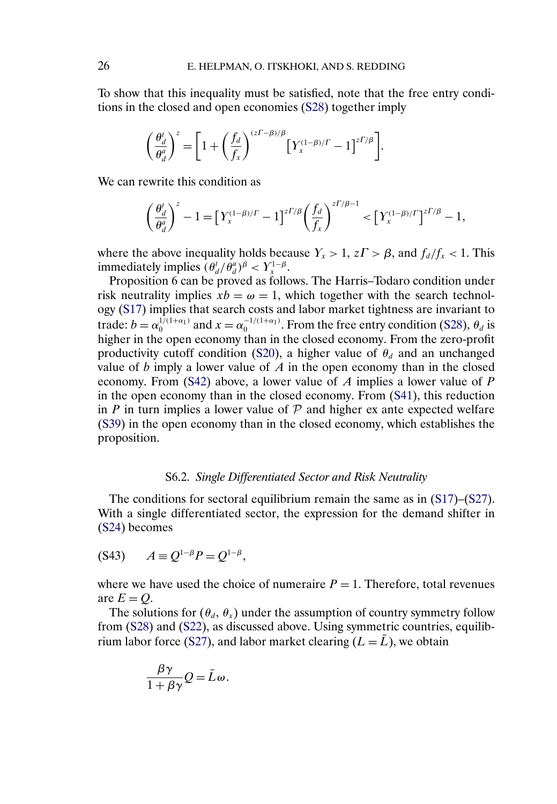<span id="page-25-0"></span>To show that this inequality must be satisfied, note that the free entry conditions in the closed and open economies [\(S28\)](#page-7-0) together imply

$$
\left(\frac{\theta_d^t}{\theta_d^a}\right)^z = \left[1 + \left(\frac{f_d}{f_x}\right)^{(z\Gamma - \beta)/\beta} \left[Y_x^{(1-\beta)/\Gamma} - 1\right]^{z\Gamma/\beta}\right].
$$

We can rewrite this condition as

$$
\left(\frac{\theta_d^t}{\theta_d^s}\right)^z-1=\left[Y^{(1-\beta)/\varGamma}_x-1\right]^{z\varGamma/\beta}\left(\frac{f_d}{f_x}\right)^{z\varGamma/\beta-1}<\left[Y^{(1-\beta)/\varGamma}_x\right]^{z\varGamma/\beta}-1,
$$

where the above inequality holds because  $Y_x > 1$ ,  $z\Gamma > \beta$ , and  $f_d/f_x < 1$ . This immediately implies  $(\theta_d^t/\theta_d^a)^{\beta} < Y_x^{1-\beta}$ .

Proposition 6 can be proved as follows. The Harris–Todaro condition under risk neutrality implies  $xb = \omega = 1$ , which together with the search technology [\(S17\)](#page-4-0) implies that search costs and labor market tightness are invariant to trade:  $b = \alpha_0^{1/(1+\alpha_1)}$  and  $x = \alpha_0^{-1/(1+\alpha_1)}$ . From the free entry condition [\(S28\)](#page-7-0),  $\theta_d$  is higher in the open economy than in the closed economy. From the zero-profit productivity cutoff condition [\(S20\)](#page-5-0), a higher value of  $\theta_d$  and an unchanged value of  $b$  imply a lower value of  $A$  in the open economy than in the closed economy. From [\(S42\)](#page-24-0) above, a lower value of A implies a lower value of P in the open economy than in the closed economy. From [\(S41\)](#page-24-0), this reduction in P in turn implies a lower value of  $P$  and higher ex ante expected welfare [\(S39\)](#page-23-0) in the open economy than in the closed economy, which establishes the proposition.

## S6.2. *Single Differentiated Sector and Risk Neutrality*

The conditions for sectoral equilibrium remain the same as in [\(S17\)](#page-4-0)–[\(S27\)](#page-6-0). With a single differentiated sector, the expression for the demand shifter in [\(S24\)](#page-6-0) becomes

$$
(S43) \t A \equiv Q^{1-\beta}P = Q^{1-\beta},
$$

where we have used the choice of numeraire  $P = 1$ . Therefore, total revenues are  $E = Q$ .

The solutions for  $(\theta_d, \theta_x)$  under the assumption of country symmetry follow from [\(S28\)](#page-7-0) and [\(S22\)](#page-5-0), as discussed above. Using symmetric countries, equilib-rium labor force [\(S27\)](#page-6-0), and labor market clearing  $(L = L)$ , we obtain

$$
\frac{\beta \gamma}{1 + \beta \gamma} Q = \bar{L}\omega.
$$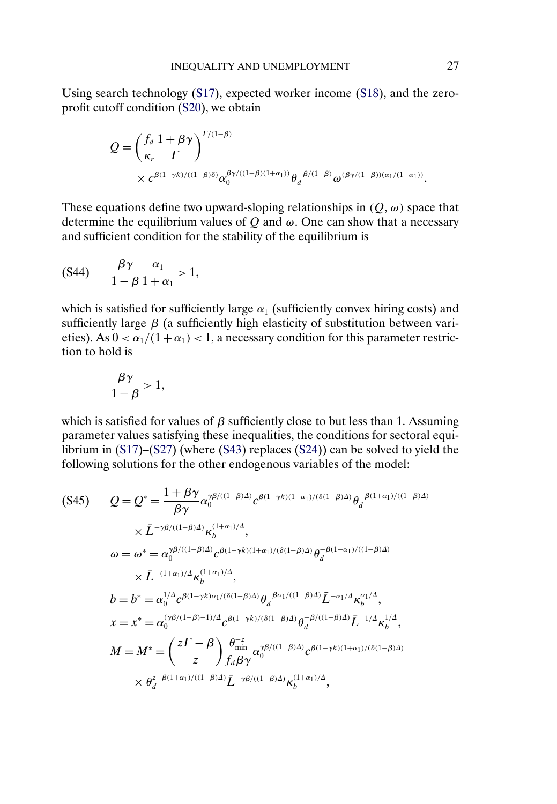<span id="page-26-0"></span>Using search technology [\(S17\)](#page-4-0), expected worker income [\(S18\)](#page-5-0), and the zeroprofit cutoff condition [\(S20\)](#page-5-0), we obtain

$$
Q = \left(\frac{f_d}{\kappa_r} \frac{1+\beta\gamma}{\Gamma}\right)^{\Gamma/(1-\beta)}
$$
  
 
$$
\times c^{\beta(1-\gamma k)/((1-\beta)\delta)} \alpha_0^{\beta\gamma/((1-\beta)(1+\alpha_1))} \theta_d^{-\beta/(1-\beta)} \omega^{(\beta\gamma/(1-\beta))(\alpha_1/(1+\alpha_1))}.
$$

These equations define two upward-sloping relationships in  $(Q, \omega)$  space that determine the equilibrium values of  $Q$  and  $\omega$ . One can show that a necessary and sufficient condition for the stability of the equilibrium is

$$
(S44) \qquad \frac{\beta \gamma}{1-\beta} \frac{\alpha_1}{1+\alpha_1} > 1,
$$

which is satisfied for sufficiently large  $\alpha_1$  (sufficiently convex hiring costs) and sufficiently large  $\beta$  (a sufficiently high elasticity of substitution between varieties). As  $0 < \alpha_1/(1+\alpha_1) < 1$ , a necessary condition for this parameter restriction to hold is

$$
\frac{\beta \gamma}{1-\beta} > 1,
$$

which is satisfied for values of  $\beta$  sufficiently close to but less than 1. Assuming parameter values satisfying these inequalities, the conditions for sectoral equilibrium in  $(S17)$ – $(S27)$  (where  $(S43)$  replaces  $(S24)$ ) can be solved to yield the following solutions for the other endogenous variables of the model:

$$
(S45) \qquad Q = Q^* = \frac{1 + \beta \gamma}{\beta \gamma} \alpha_0^{\gamma \beta / ((1 - \beta) \Delta)} c^{\beta (1 - \gamma k) (1 + \alpha_1) / (\delta (1 - \beta) \Delta)} \theta_d^{-\beta (1 + \alpha_1) / ((1 - \beta) \Delta)}
$$

$$
\times \bar{L}^{-\gamma \beta / ((1 - \beta) \Delta)} \kappa_b^{(1 + \alpha_1) / \Delta},
$$

$$
\omega = \omega^* = \alpha_0^{\gamma \beta / ((1 - \beta) \Delta)} c^{\beta (1 - \gamma k) (1 + \alpha_1) / (\delta (1 - \beta) \Delta)} \theta_d^{-\beta (1 + \alpha_1) / ((1 - \beta) \Delta)}
$$

$$
\times \bar{L}^{-(1 + \alpha_1) / \Delta} \kappa_b^{(1 + \alpha_1) / \Delta},
$$

$$
b = b^* = \alpha_0^{1/\Delta} c^{\beta (1 - \gamma k) \alpha_1 / (\delta (1 - \beta) \Delta)} \theta_d^{-\beta \alpha_1 / ((1 - \beta) \Delta)} \bar{L}^{-\alpha_1 / \Delta} \kappa_b^{\alpha_1 / \Delta},
$$

$$
x = x^* = \alpha_0^{\gamma \beta / (1 - \beta) - 1 / \Delta} c^{\beta (1 - \gamma k) / (\delta (1 - \beta) \Delta)} \theta_d^{-\beta / ((1 - \beta) \Delta)} \bar{L}^{-1 / \Delta} \kappa_b^{1 / \Delta},
$$

$$
M = M^* = \left(\frac{z \Gamma - \beta}{z}\right) \frac{\theta_{\min}^{-z}}{f_d \beta \gamma} \alpha_0^{\gamma \beta / ((1 - \beta) \Delta)} c^{\beta (1 - \gamma k) (1 + \alpha_1) / (\delta (1 - \beta) \Delta)} \times \theta_d^{z - \beta (1 + \alpha_1) / ((1 - \beta) \Delta)} \bar{L}^{-\gamma \beta / ((1 - \beta) \Delta)} \kappa_b^{(1 + \alpha_1) / \Delta},
$$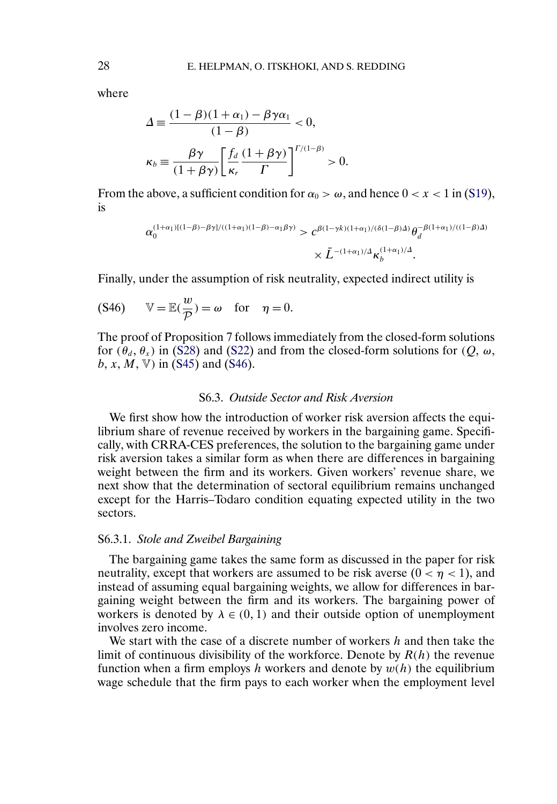where

$$
\Delta \equiv \frac{(1 - \beta)(1 + \alpha_1) - \beta \gamma \alpha_1}{(1 - \beta)} < 0,
$$
  

$$
\kappa_b \equiv \frac{\beta \gamma}{(1 + \beta \gamma)} \left[ \frac{f_d}{\kappa_r} \frac{(1 + \beta \gamma)}{\Gamma} \right]^{r/(1 - \beta)} > 0.
$$

From the above, a sufficient condition for  $\alpha_0 > \omega$ , and hence  $0 < x < 1$  in [\(S19\)](#page-5-0), is

$$
\alpha_0^{(1+\alpha_1)[(1-\beta)-\beta\gamma]/((1+\alpha_1)(1-\beta)-\alpha_1\beta\gamma)} > c^{\beta(1-\gamma k)(1+\alpha_1)/(\delta(1-\beta)\Delta)} \theta_d^{-\beta(1+\alpha_1)/((1-\beta)\Delta)}
$$

$$
\times \bar{L}^{-(1+\alpha_1)/\Delta} \kappa_b^{(1+\alpha_1)/\Delta}.
$$

Finally, under the assumption of risk neutrality, expected indirect utility is

(S46) 
$$
\mathbb{V} = \mathbb{E}(\frac{w}{p}) = \omega \text{ for } \eta = 0.
$$

The proof of Proposition 7 follows immediately from the closed-form solutions for  $(\theta_d, \theta_r)$  in [\(S28\)](#page-7-0) and [\(S22\)](#page-5-0) and from the closed-form solutions for  $(Q, \omega, \theta_r)$  $b, x, M, V$  in [\(S45\)](#page-26-0) and (S46).

### S6.3. *Outside Sector and Risk Aversion*

We first show how the introduction of worker risk aversion affects the equilibrium share of revenue received by workers in the bargaining game. Specifically, with CRRA-CES preferences, the solution to the bargaining game under risk aversion takes a similar form as when there are differences in bargaining weight between the firm and its workers. Given workers' revenue share, we next show that the determination of sectoral equilibrium remains unchanged except for the Harris–Todaro condition equating expected utility in the two sectors.

#### S6.3.1. *Stole and Zweibel Bargaining*

The bargaining game takes the same form as discussed in the paper for risk neutrality, except that workers are assumed to be risk averse  $(0 < \eta < 1)$ , and instead of assuming equal bargaining weights, we allow for differences in bargaining weight between the firm and its workers. The bargaining power of workers is denoted by  $\lambda \in (0, 1)$  and their outside option of unemployment involves zero income.

We start with the case of a discrete number of workers  $h$  and then take the limit of continuous divisibility of the workforce. Denote by  $R(h)$  the revenue function when a firm employs h workers and denote by  $w(h)$  the equilibrium wage schedule that the firm pays to each worker when the employment level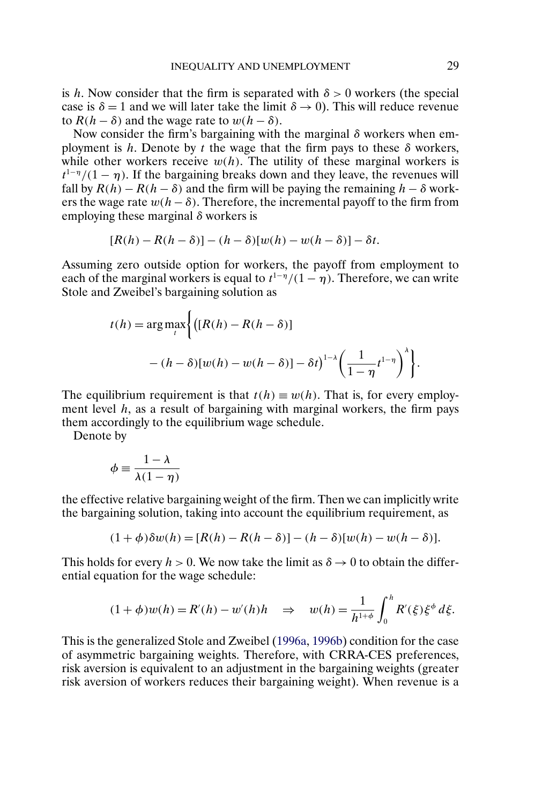<span id="page-28-0"></span>is h. Now consider that the firm is separated with  $\delta > 0$  workers (the special case is  $\delta = 1$  and we will later take the limit  $\delta \rightarrow 0$ ). This will reduce revenue to  $R(h - \delta)$  and the wage rate to  $w(h - \delta)$ .

Now consider the firm's bargaining with the marginal  $\delta$  workers when employment is h. Denote by t the wage that the firm pays to these  $\delta$  workers, while other workers receive  $w(h)$ . The utility of these marginal workers is  $t^{1-\eta}/(1-\eta)$ . If the bargaining breaks down and they leave, the revenues will fall by  $R(h) - R(h - \delta)$  and the firm will be paying the remaining  $h - \delta$  workers the wage rate  $w(h - \delta)$ . Therefore, the incremental payoff to the firm from employing these marginal  $\delta$  workers is

$$
[R(h) - R(h-\delta)] - (h-\delta)[w(h) - w(h-\delta)] - \delta t.
$$

Assuming zero outside option for workers, the payoff from employment to each of the marginal workers is equal to  $t^{1-\eta}/(1-\eta)$ . Therefore, we can write Stole and Zweibel's bargaining solution as

$$
t(h) = \arg \max_{t} \left\{ \left( [R(h) - R(h - \delta)] - (h - \delta) [w(h) - w(h - \delta)] - \delta t \right)^{1-\lambda} \left( \frac{1}{1 - \eta} t^{1-\eta} \right)^{\lambda} \right\}.
$$

The equilibrium requirement is that  $t(h) \equiv w(h)$ . That is, for every employment level  $h$ , as a result of bargaining with marginal workers, the firm pays them accordingly to the equilibrium wage schedule.

Denote by

$$
\phi \equiv \frac{1-\lambda}{\lambda(1-\eta)}
$$

the effective relative bargaining weight of the firm. Then we can implicitly write the bargaining solution, taking into account the equilibrium requirement, as

$$
(1+\phi)\delta w(h) = [R(h) - R(h-\delta)] - (h-\delta)[w(h) - w(h-\delta)].
$$

This holds for every  $h > 0$ . We now take the limit as  $\delta \to 0$  to obtain the differential equation for the wage schedule:

$$
(1 + \phi)w(h) = R'(h) - w'(h)h \quad \Rightarrow \quad w(h) = \frac{1}{h^{1+\phi}} \int_0^h R'(\xi) \xi^{\phi} d\xi.
$$

This is the generalized Stole and Zweibel [\(1996a,](#page-34-0) [1996b\)](#page-34-0) condition for the case of asymmetric bargaining weights. Therefore, with CRRA-CES preferences, risk aversion is equivalent to an adjustment in the bargaining weights (greater risk aversion of workers reduces their bargaining weight). When revenue is a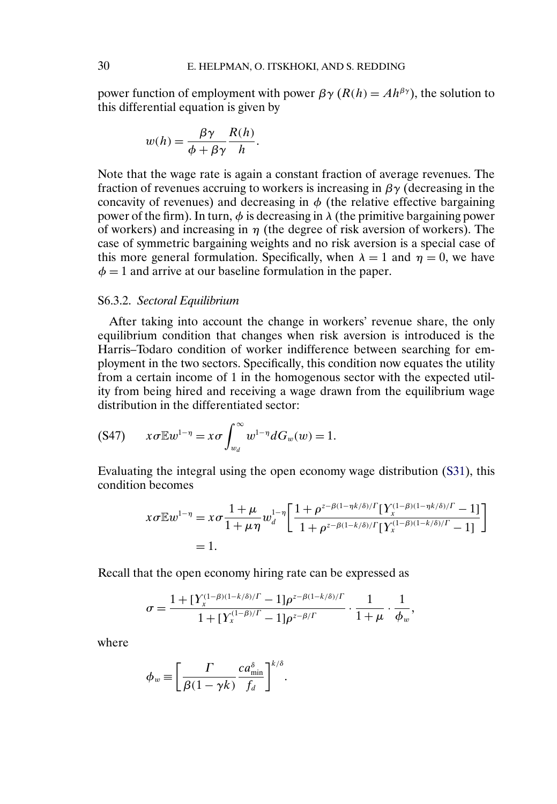power function of employment with power  $\beta \gamma (R(h) = Ah^{\beta \gamma})$ , the solution to this differential equation is given by

$$
w(h) = \frac{\beta \gamma}{\phi + \beta \gamma} \frac{R(h)}{h}.
$$

Note that the wage rate is again a constant fraction of average revenues. The fraction of revenues accruing to workers is increasing in  $\beta\gamma$  (decreasing in the concavity of revenues) and decreasing in  $\phi$  (the relative effective bargaining power of the firm). In turn,  $\phi$  is decreasing in  $\lambda$  (the primitive bargaining power of workers) and increasing in  $\eta$  (the degree of risk aversion of workers). The case of symmetric bargaining weights and no risk aversion is a special case of this more general formulation. Specifically, when  $\lambda = 1$  and  $\eta = 0$ , we have  $\phi = 1$  and arrive at our baseline formulation in the paper.

### S6.3.2. *Sectoral Equilibrium*

After taking into account the change in workers' revenue share, the only equilibrium condition that changes when risk aversion is introduced is the Harris–Todaro condition of worker indifference between searching for employment in the two sectors. Specifically, this condition now equates the utility from a certain income of 1 in the homogenous sector with the expected utility from being hired and receiving a wage drawn from the equilibrium wage distribution in the differentiated sector:

$$
(S47) \qquad x\sigma \mathbb{E} w^{1-\eta} = x\sigma \int_{w_d}^{\infty} w^{1-\eta} dG_w(w) = 1.
$$

Evaluating the integral using the open economy wage distribution [\(S31\)](#page-10-0), this condition becomes

$$
x\sigma \mathbb{E} w^{1-\eta} = x\sigma \frac{1+\mu}{1+\mu\eta} w_d^{1-\eta} \left[ \frac{1+\rho^{z-\beta(1-\eta k/\delta)/\Gamma} [\Upsilon_x^{(1-\beta)(1-\eta k/\delta)/\Gamma} - 1]}{1+\rho^{z-\beta(1-k/\delta)/\Gamma} [\Upsilon_x^{(1-\beta)(1-k/\delta)/\Gamma} - 1]} \right]
$$
  
= 1.

Recall that the open economy hiring rate can be expressed as

$$
\sigma = \frac{1 + [Y_{x}^{(1-\beta)(1-k/\delta)/\Gamma} - 1]\rho^{z-\beta(1-k/\delta)/\Gamma}}{1 + [Y_{x}^{(1-\beta)/\Gamma} - 1]\rho^{z-\beta/\Gamma}} \cdot \frac{1}{1 + \mu} \cdot \frac{1}{\phi_w},
$$

where

$$
\phi_w \equiv \left[ \frac{\Gamma}{\beta(1-\gamma k)} \frac{c a_{\min}^{\delta}}{f_d} \right]^{k/\delta}.
$$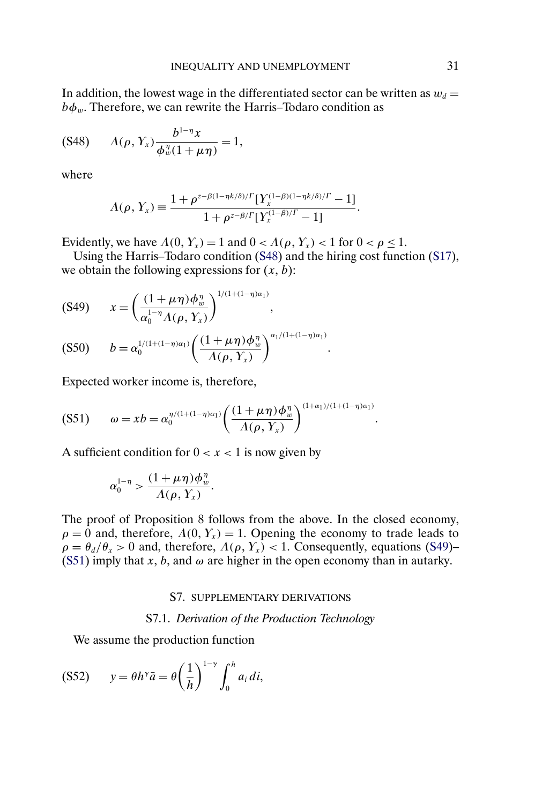<span id="page-30-0"></span>In addition, the lowest wage in the differentiated sector can be written as  $w_d =$  $b\phi_w$ . Therefore, we can rewrite the Harris–Todaro condition as

$$
(S48) \tA(\rho, Y_x) \frac{b^{1-\eta} x}{\phi_w^n (1 + \mu \eta)} = 1,
$$

where

$$
\Lambda(\rho, Y_x) \equiv \frac{1 + \rho^{z-\beta(1-\eta k/\delta)/\Gamma} [Y_x^{(1-\beta)(1-\eta k/\delta)/\Gamma} - 1]}{1 + \rho^{z-\beta/\Gamma} [Y_x^{(1-\beta)/\Gamma} - 1]}.
$$

Evidently, we have  $\Lambda(0, Y_x) = 1$  and  $0 < \Lambda(\rho, Y_x) < 1$  for  $0 < \rho \le 1$ .

Using the Harris–Todaro condition (S48) and the hiring cost function [\(S17\)](#page-4-0), we obtain the following expressions for  $(x, b)$ :

$$
(S49) \t x = \left(\frac{(1+\mu\eta)\phi_w^n}{\alpha_0^{1-\eta}\Lambda(\rho, Y_x)}\right)^{1/(1+(1-\eta)\alpha_1)},
$$
  
(S50) \t 
$$
\frac{1}{(1+(1-\eta)\alpha_1)}\left((1+\mu\eta)\phi_w^n\right)^{\alpha_1/(1+(1-\eta)\alpha_1)}
$$

$$
(S50) \t b = \alpha_0^{1/(1+(1-\eta)\alpha_1)} \left( \frac{(1+\mu\eta)\phi_w^n}{\Lambda(\rho, Y_x)} \right)^{\alpha_1/(1+(1-\eta)\alpha_1)}.
$$

Expected worker income is, therefore,

$$
(S51) \qquad \omega = xb = \alpha_0^{\eta/(1+(1-\eta)\alpha_1)} \left( \frac{(1+\mu\eta)\phi_w^{\eta}}{\Lambda(\rho, Y_x)} \right)^{(1+\alpha_1)/(1+(1-\eta)\alpha_1)}.
$$

A sufficient condition for  $0 < x < 1$  is now given by

$$
\alpha_0^{1-\eta} > \frac{(1+\mu\eta)\phi_w^{\eta}}{\Lambda(\rho,Y_x)}.
$$

The proof of Proposition 8 follows from the above. In the closed economy,  $\rho = 0$  and, therefore,  $\Lambda(0, Y_x) = 1$ . Opening the economy to trade leads to  $\rho = \theta_d/\theta_x > 0$  and, therefore,  $\Lambda(\rho, Y_x) < 1$ . Consequently, equations (S49)– (S51) imply that  $x, b$ , and  $\omega$  are higher in the open economy than in autarky.

#### S7. SUPPLEMENTARY DERIVATIONS

#### S7.1. *Derivation of the Production Technology*

We assume the production function

$$
(S52) \t y = \theta h^{\gamma} \bar{a} = \theta \left(\frac{1}{h}\right)^{1-\gamma} \int_0^h a_i \, di,
$$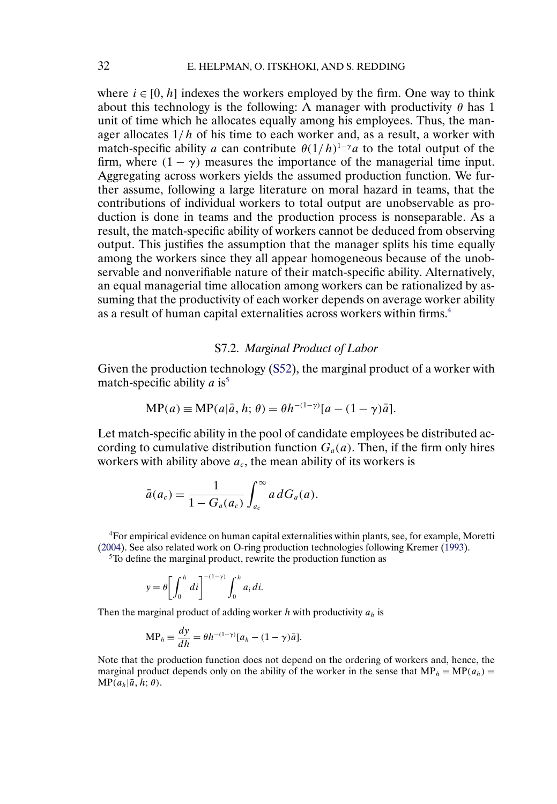<span id="page-31-0"></span>where  $i \in [0, h]$  indexes the workers employed by the firm. One way to think about this technology is the following: A manager with productivity  $\theta$  has 1 unit of time which he allocates equally among his employees. Thus, the manager allocates  $1/h$  of his time to each worker and, as a result, a worker with match-specific ability a can contribute  $\theta(1/h)^{1-\gamma}$  to the total output of the firm, where  $(1 - \gamma)$  measures the importance of the managerial time input. Aggregating across workers yields the assumed production function. We further assume, following a large literature on moral hazard in teams, that the contributions of individual workers to total output are unobservable as production is done in teams and the production process is nonseparable. As a result, the match-specific ability of workers cannot be deduced from observing output. This justifies the assumption that the manager splits his time equally among the workers since they all appear homogeneous because of the unobservable and nonverifiable nature of their match-specific ability. Alternatively, an equal managerial time allocation among workers can be rationalized by assuming that the productivity of each worker depends on average worker ability as a result of human capital externalities across workers within firms.4

# S7.2. *Marginal Product of Labor*

Given the production technology [\(S52\)](#page-30-0), the marginal product of a worker with match-specific ability  $a$  is<sup>5</sup>

$$
MP(a) \equiv MP(a|\bar{a}, h; \theta) = \theta h^{-(1-\gamma)}[a - (1-\gamma)\bar{a}].
$$

Let match-specific ability in the pool of candidate employees be distributed according to cumulative distribution function  $G_a(a)$ . Then, if the firm only hires workers with ability above  $a_c$ , the mean ability of its workers is

$$
\bar{a}(a_c) = \frac{1}{1 - G_a(a_c)} \int_{a_c}^{\infty} a dG_a(a).
$$

4For empirical evidence on human capital externalities within plants, see, for example, Moretti [\(2004\)](#page-34-0). See also related work on O-ring production technologies following Kremer [\(1993\)](#page-34-0).

5To define the marginal product, rewrite the production function as

$$
y = \theta \left[ \int_0^h dl \right]^{-(1-\gamma)} \int_0^h a_i dl.
$$

Then the marginal product of adding worker  $h$  with productivity  $a_h$  is

$$
MP_h \equiv \frac{dy}{dh} = \theta h^{-(1-\gamma)} [a_h - (1-\gamma)\bar{a}].
$$

Note that the production function does not depend on the ordering of workers and, hence, the marginal product depends only on the ability of the worker in the sense that  $MP_h = MP(a_h)$  =  $MP(a_h | \bar{a}, h; \theta).$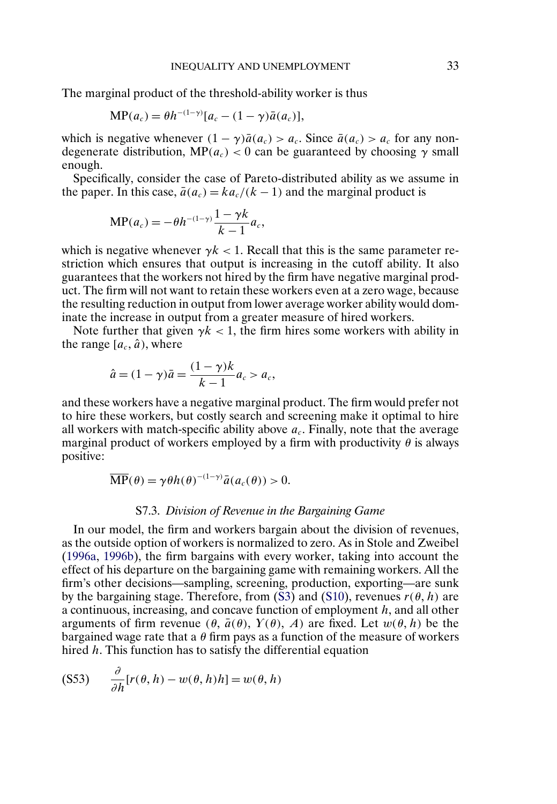<span id="page-32-0"></span>The marginal product of the threshold-ability worker is thus

$$
\mathbf{MP}(a_c) = \theta h^{-(1-\gamma)}[a_c - (1-\gamma)\bar{a}(a_c)],
$$

which is negative whenever  $(1 - \gamma)\bar{a}(a_c) > a_c$ . Since  $\bar{a}(a_c) > a_c$  for any nondegenerate distribution, MP( $a_c$ ) < 0 can be guaranteed by choosing  $\gamma$  small enough.

Specifically, consider the case of Pareto-distributed ability as we assume in the paper. In this case,  $\bar{a}(a_c) = k a_c/(k-1)$  and the marginal product is

$$
MP(a_c) = -\theta h^{-(1-\gamma)} \frac{1-\gamma k}{k-1} a_c,
$$

which is negative whenever  $\gamma k < 1$ . Recall that this is the same parameter restriction which ensures that output is increasing in the cutoff ability. It also guarantees that the workers not hired by the firm have negative marginal product. The firm will not want to retain these workers even at a zero wage, because the resulting reduction in output from lower average worker ability would dominate the increase in output from a greater measure of hired workers.

Note further that given  $\gamma k < 1$ , the firm hires some workers with ability in the range  $[a_c, \hat{a})$ , where

$$
\hat{a} = (1 - \gamma)\bar{a} = \frac{(1 - \gamma)k}{k - 1}a_c > a_c,
$$

and these workers have a negative marginal product. The firm would prefer not to hire these workers, but costly search and screening make it optimal to hire all workers with match-specific ability above  $a_c$ . Finally, note that the average marginal product of workers employed by a firm with productivity  $\theta$  is always positive:

$$
\overline{\mathbf{MP}}(\theta) = \gamma \theta h(\theta)^{-(1-\gamma)} \bar{a}(a_c(\theta)) > 0.
$$

### S7.3. *Division of Revenue in the Bargaining Game*

In our model, the firm and workers bargain about the division of revenues, as the outside option of workers is normalized to zero. As in Stole and Zweibel [\(1996a,](#page-34-0) [1996b\)](#page-34-0), the firm bargains with every worker, taking into account the effect of his departure on the bargaining game with remaining workers. All the firm's other decisions—sampling, screening, production, exporting—are sunk by the bargaining stage. Therefore, from [\(S3\)](#page-1-0) and [\(S10\)](#page-2-0), revenues  $r(\theta, h)$  are a continuous, increasing, and concave function of employment h, and all other arguments of firm revenue ( $\theta$ ,  $\bar{a}(\theta)$ ,  $\gamma(\theta)$ , A) are fixed. Let  $w(\theta, h)$  be the bargained wage rate that a  $\theta$  firm pays as a function of the measure of workers hired  $h$ . This function has to satisfy the differential equation

$$
(S53) \qquad \frac{\partial}{\partial h} [r(\theta, h) - w(\theta, h)h] = w(\theta, h)
$$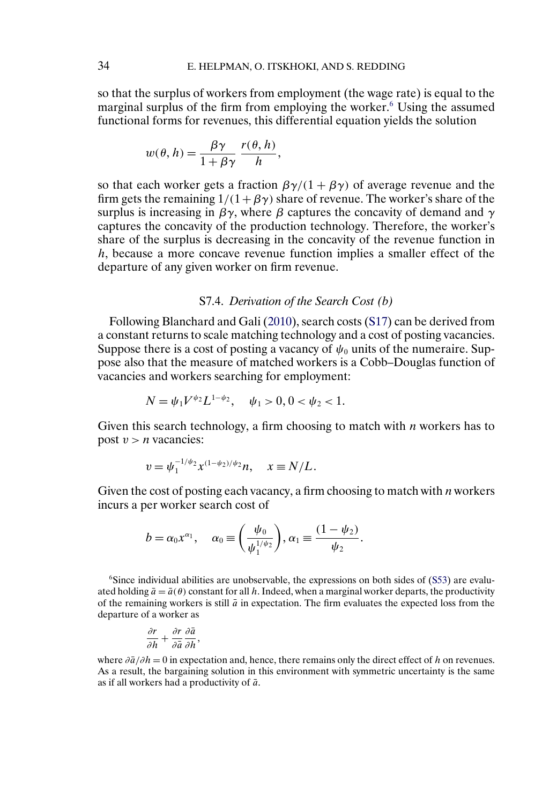<span id="page-33-0"></span>so that the surplus of workers from employment (the wage rate) is equal to the marginal surplus of the firm from employing the worker.<sup>6</sup> Using the assumed functional forms for revenues, this differential equation yields the solution

$$
w(\theta, h) = \frac{\beta \gamma}{1 + \beta \gamma} \frac{r(\theta, h)}{h},
$$

so that each worker gets a fraction  $\beta\gamma/(1+\beta\gamma)$  of average revenue and the firm gets the remaining  $1/(1+\beta \gamma)$  share of revenue. The worker's share of the surplus is increasing in  $\beta \gamma$ , where  $\beta$  captures the concavity of demand and  $\gamma$ captures the concavity of the production technology. Therefore, the worker's share of the surplus is decreasing in the concavity of the revenue function in h, because a more concave revenue function implies a smaller effect of the departure of any given worker on firm revenue.

### S7.4. *Derivation of the Search Cost (*b*)*

Following Blanchard and Gali [\(2010\)](#page-34-0), search costs [\(S17\)](#page-4-0) can be derived from a constant returns to scale matching technology and a cost of posting vacancies. Suppose there is a cost of posting a vacancy of  $\psi_0$  units of the numeraire. Suppose also that the measure of matched workers is a Cobb–Douglas function of vacancies and workers searching for employment:

$$
N = \psi_1 V^{\psi_2} L^{1-\psi_2}, \quad \psi_1 > 0, 0 < \psi_2 < 1.
$$

Given this search technology, a firm choosing to match with  $n$  workers has to post  $v > n$  vacancies:

$$
v = \psi_1^{-1/\psi_2} x^{(1-\psi_2)/\psi_2} n, \quad x \equiv N/L.
$$

Given the cost of posting each vacancy, a firm choosing to match with  $n$  workers incurs a per worker search cost of

$$
b=\alpha_0x^{\alpha_1}, \quad \alpha_0\equiv\left(\frac{\psi_0}{\psi_1^{1/\psi_2}}\right), \alpha_1\equiv\frac{(1-\psi_2)}{\psi_2}.
$$

 $6S$  Since individual abilities are unobservable, the expressions on both sides of  $(S53)$  are evaluated holding  $\bar{a} = \bar{a}(\theta)$  constant for all h. Indeed, when a marginal worker departs, the productivity of the remaining workers is still  $\bar{a}$  in expectation. The firm evaluates the expected loss from the departure of a worker as

$$
\frac{\partial r}{\partial h} + \frac{\partial r}{\partial \bar{a}} \frac{\partial \bar{a}}{\partial h},
$$

where  $\partial \bar{a}/\partial h = 0$  in expectation and, hence, there remains only the direct effect of h on revenues. As a result, the bargaining solution in this environment with symmetric uncertainty is the same as if all workers had a productivity of  $\bar{a}$ .